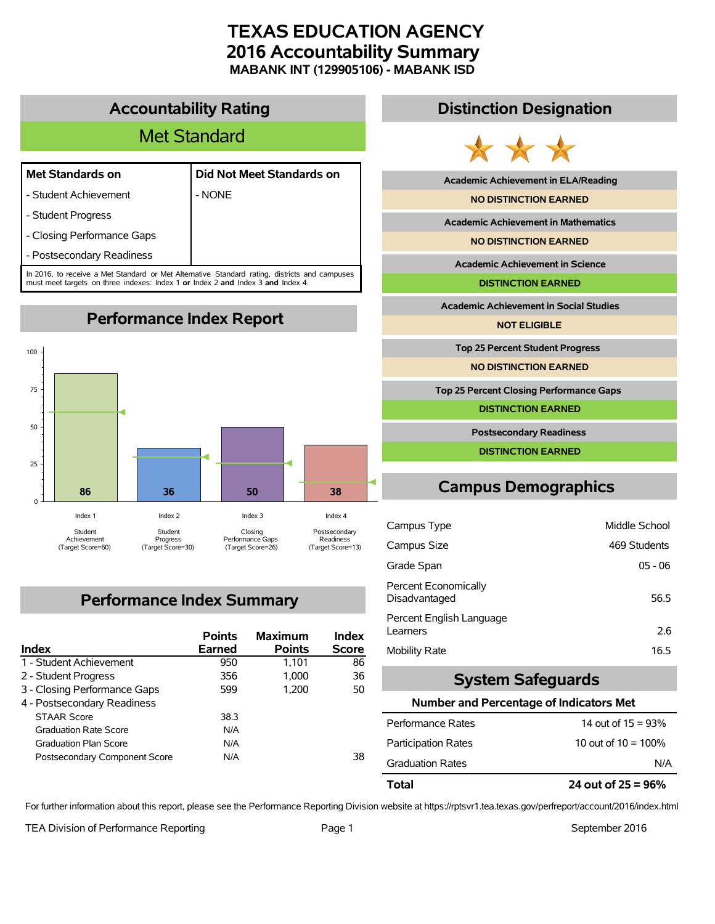# **TEXAS EDUCATION AGENCY 2016 Accountability Summary MABANK INT (129905106) - MABANK ISD**

## **Accountability Rating**

# Met Standard

#### **Met Standards on Did Not Meet Standards on**

- Student Achievement | NONE

- Student Progress

- Closing Performance Gaps

- Postsecondary Readiness

In 2016, to receive a Met Standard or Met Alternative Standard rating, districts and campuses must meet targets on three indexes: Index 1 **or** Index 2 **and** Index 3 **and** Index 4.

**Performance Index Report**



# **Performance Index Summary**

| <b>Index</b>                  | <b>Points</b><br><b>Earned</b> | <b>Maximum</b><br><b>Points</b> | <b>Index</b><br><b>Score</b> |
|-------------------------------|--------------------------------|---------------------------------|------------------------------|
| 1 - Student Achievement       | 950                            | 1.101                           | 86                           |
| 2 - Student Progress          | 356                            | 1.000                           | 36                           |
| 3 - Closing Performance Gaps  | 599                            | 1.200                           | 50                           |
| 4 - Postsecondary Readiness   |                                |                                 |                              |
| <b>STAAR Score</b>            | 38.3                           |                                 |                              |
| <b>Graduation Rate Score</b>  | N/A                            |                                 |                              |
| <b>Graduation Plan Score</b>  | N/A                            |                                 |                              |
| Postsecondary Component Score | N/A                            |                                 | 38                           |

## **Distinction Designation**



**Academic Achievement in ELA/Reading**

**NO DISTINCTION EARNED**

**Academic Achievement in Mathematics**

**NO DISTINCTION EARNED**

**Academic Achievement in Science**

**DISTINCTION EARNED**

**Academic Achievement in Social Studies**

**NOT ELIGIBLE**

**Top 25 Percent Student Progress**

**NO DISTINCTION EARNED**

**Top 25 Percent Closing Performance Gaps**

**DISTINCTION EARNED**

**Postsecondary Readiness**

**DISTINCTION EARNED**

# **Campus Demographics**

| Campus Type                           | Middle School |
|---------------------------------------|---------------|
| Campus Size                           | 469 Students  |
| Grade Span                            | $05 - 06$     |
| Percent Economically<br>Disadvantaged | 56.5          |
| Percent English Language<br>Learners  | 2.6           |
| Mobility Rate                         | 16.5          |

## **System Safeguards**

#### **Number and Percentage of Indicators Met**

| N/A                    |
|------------------------|
| 10 out of $10 = 100\%$ |
| 14 out of $15 = 93\%$  |
|                        |

For further information about this report, please see the Performance Reporting Division website at https://rptsvr1.tea.texas.gov/perfreport/account/2016/index.html

TEA Division of Performance Reporting TEA Division of Performance Reporting Team Page 1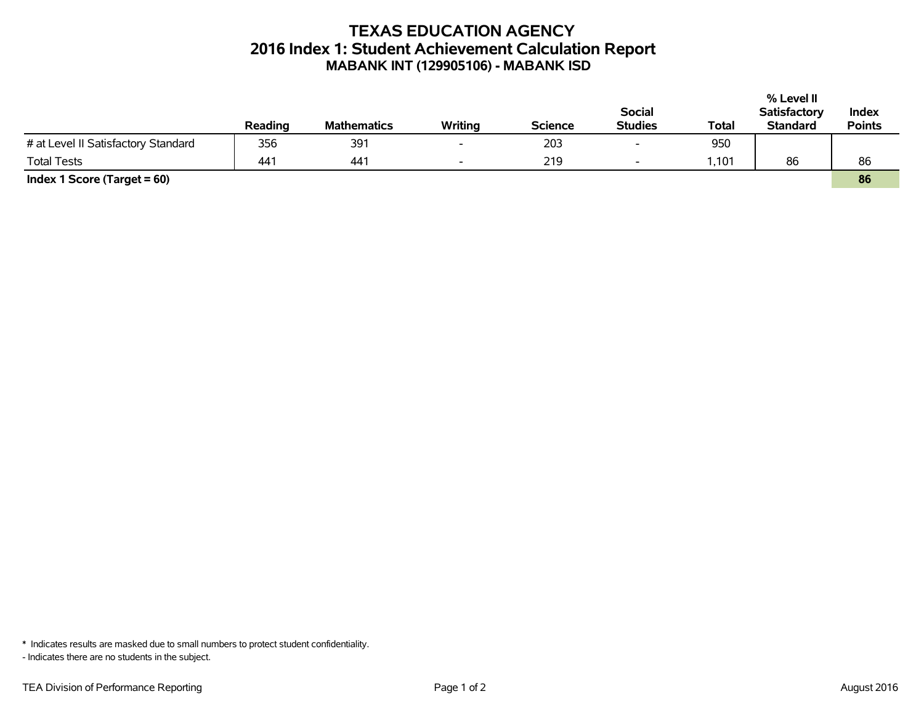# **TEXAS EDUCATION AGENCY 2016 Index 1: Student Achievement Calculation Report MABANK INT (129905106) - MABANK ISD**

|                                     |         |                    |         |                |                          |       | % Level II          |               |
|-------------------------------------|---------|--------------------|---------|----------------|--------------------------|-------|---------------------|---------------|
|                                     |         |                    |         |                | <b>Social</b>            |       | <b>Satisfactory</b> | Index         |
|                                     | Reading | <b>Mathematics</b> | Writing | <b>Science</b> | <b>Studies</b>           | Total | <b>Standard</b>     | <b>Points</b> |
| # at Level II Satisfactory Standard | 356     | 391                |         | 203            | $\overline{\phantom{0}}$ | 950   |                     |               |
| <b>Total Tests</b>                  | 441     | 441                |         | 219            | $\overline{\phantom{0}}$ | ,101  | 86                  | 86            |
| Index 1 Score (Target $= 60$ )      |         |                    |         |                |                          |       |                     | 86            |

\* Indicates results are masked due to small numbers to protect student confidentiality.

- Indicates there are no students in the subject.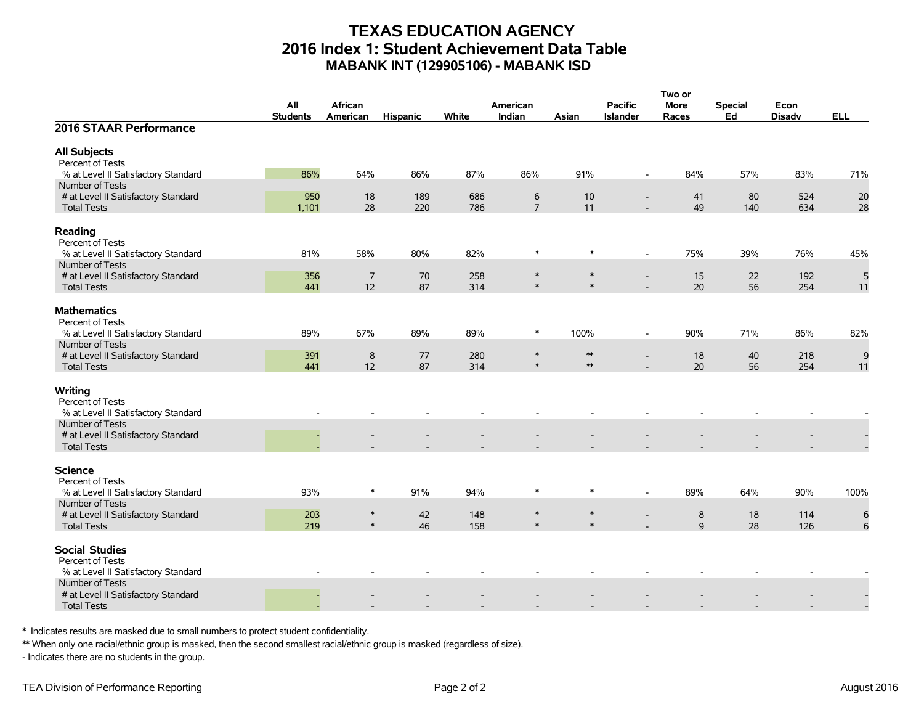## **TEXAS EDUCATION AGENCY 2016 Index 1: Student Achievement Data Table MABANK INT (129905106) - MABANK ISD**

|                                                           |                 |                  |                 |            |                  |                  |                          | Two or      |                |               |            |
|-----------------------------------------------------------|-----------------|------------------|-----------------|------------|------------------|------------------|--------------------------|-------------|----------------|---------------|------------|
|                                                           | All             | African          |                 |            | American         |                  | <b>Pacific</b>           | <b>More</b> | <b>Special</b> | Econ          |            |
|                                                           | <b>Students</b> | American         | <b>Hispanic</b> | White      | Indian           | Asian            | <b>Islander</b>          | Races       | Ed             | <b>Disadv</b> | <b>ELL</b> |
| 2016 STAAR Performance                                    |                 |                  |                 |            |                  |                  |                          |             |                |               |            |
| <b>All Subjects</b>                                       |                 |                  |                 |            |                  |                  |                          |             |                |               |            |
| Percent of Tests                                          |                 |                  |                 |            |                  |                  |                          |             |                |               |            |
| % at Level II Satisfactory Standard                       | 86%             | 64%              | 86%             | 87%        | 86%              | 91%              | $\blacksquare$           | 84%         | 57%            | 83%           | 71%        |
| Number of Tests                                           |                 |                  |                 |            |                  |                  |                          |             |                |               |            |
| # at Level II Satisfactory Standard                       | 950             | 18               | 189             | 686        | 6                | 10               | $\overline{\phantom{a}}$ | 41          | 80             | 524           | 20         |
| <b>Total Tests</b>                                        | 1,101           | 28               | 220             | 786        | $\overline{7}$   | 11               |                          | 49          | 140            | 634           | 28         |
| Reading<br>Percent of Tests                               |                 |                  |                 |            |                  |                  |                          |             |                |               |            |
| % at Level II Satisfactory Standard                       | 81%             | 58%              | 80%             | 82%        | $\ast$           | $\ast$           | $\blacksquare$           | 75%         | 39%            | 76%           | 45%        |
| Number of Tests                                           |                 |                  |                 |            |                  |                  |                          |             |                |               |            |
| # at Level II Satisfactory Standard                       | 356             | $\overline{7}$   | 70              | 258        | $\ast$           | $\ast$           | $\overline{\phantom{a}}$ | 15          | 22             | 192           | 5          |
| <b>Total Tests</b>                                        | 441             | 12               | 87              | 314        | $\ast$           | $\ast$           |                          | 20          | 56             | 254           | 11         |
| <b>Mathematics</b><br>Percent of Tests                    |                 |                  |                 |            |                  |                  |                          |             |                |               |            |
| % at Level II Satisfactory Standard                       | 89%             | 67%              | 89%             | 89%        | $\ast$           | 100%             | $\overline{\phantom{a}}$ | 90%         | 71%            | 86%           | 82%        |
| Number of Tests                                           |                 |                  |                 |            | $\ast$           | $\ast\ast$       |                          |             |                |               |            |
| # at Level II Satisfactory Standard<br><b>Total Tests</b> | 391<br>441      | 8<br>12          | 77<br>87        | 280<br>314 | $\ast$           | $\ast\ast$       | $\overline{a}$           | 18<br>20    | 40<br>56       | 218<br>254    | 9          |
|                                                           |                 |                  |                 |            |                  |                  |                          |             |                |               | 11         |
| Writing<br>Percent of Tests                               |                 |                  |                 |            |                  |                  |                          |             |                |               |            |
| % at Level II Satisfactory Standard                       |                 |                  |                 |            |                  |                  |                          |             |                |               |            |
| Number of Tests                                           |                 |                  |                 |            |                  |                  |                          |             |                |               |            |
| # at Level II Satisfactory Standard<br><b>Total Tests</b> |                 |                  |                 |            |                  |                  |                          |             |                |               |            |
|                                                           |                 |                  |                 |            |                  |                  |                          |             |                |               |            |
| <b>Science</b><br>Percent of Tests                        |                 |                  |                 |            |                  |                  |                          |             |                |               |            |
| % at Level II Satisfactory Standard                       | 93%             | $\ast$           | 91%             | 94%        | $\ast$           | $\ast$           | $\overline{\phantom{a}}$ | 89%         | 64%            | 90%           | 100%       |
| Number of Tests                                           |                 |                  |                 |            |                  |                  |                          |             |                |               |            |
| # at Level II Satisfactory Standard                       | 203             | $\ast$<br>$\ast$ | 42              | 148        | $\ast$<br>$\ast$ | $\ast$<br>$\ast$ |                          | 8           | 18             | 114           | 6          |
| <b>Total Tests</b>                                        | 219             |                  | 46              | 158        |                  |                  |                          | 9           | 28             | 126           | 6          |
| <b>Social Studies</b><br>Percent of Tests                 |                 |                  |                 |            |                  |                  |                          |             |                |               |            |
| % at Level II Satisfactory Standard                       |                 |                  |                 |            |                  |                  |                          |             |                |               |            |
| Number of Tests                                           |                 |                  |                 |            |                  |                  |                          |             |                |               |            |
| # at Level II Satisfactory Standard                       |                 |                  |                 |            |                  |                  |                          |             |                |               |            |
| <b>Total Tests</b>                                        |                 |                  |                 |            |                  |                  |                          |             |                |               |            |

\* Indicates results are masked due to small numbers to protect student confidentiality.

\*\* When only one racial/ethnic group is masked, then the second smallest racial/ethnic group is masked (regardless of size).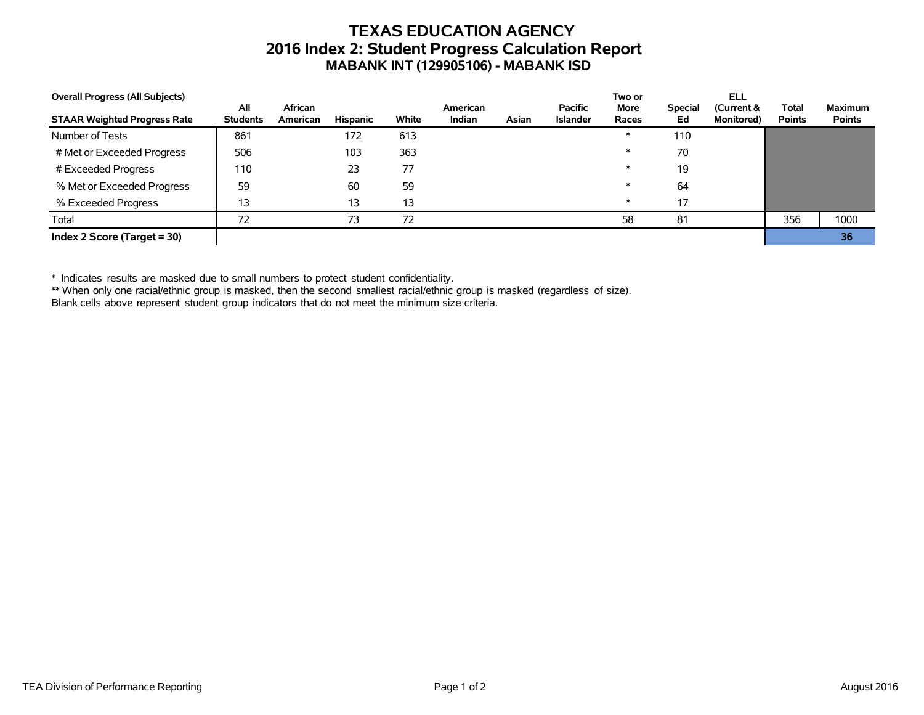# **TEXAS EDUCATION AGENCY 2016 Index 2: Student Progress Calculation Report MABANK INT (129905106) - MABANK ISD**

| <b>Overall Progress (All Subjects)</b> |                        |                     |          |       |                           |       |                                   | Two or        |                      | ELL                              |                               |                                 |
|----------------------------------------|------------------------|---------------------|----------|-------|---------------------------|-------|-----------------------------------|---------------|----------------------|----------------------------------|-------------------------------|---------------------------------|
| <b>STAAR Weighted Progress Rate</b>    | All<br><b>Students</b> | African<br>American | Hispanic | White | American<br><b>Indian</b> | Asian | <b>Pacific</b><br><b>Islander</b> | More<br>Races | <b>Special</b><br>Ed | (Current &<br><b>Monitored</b> ) | <b>Total</b><br><b>Points</b> | <b>Maximum</b><br><b>Points</b> |
| Number of Tests                        | 861                    |                     | 172      | 613   |                           |       |                                   | $\ast$        | 110                  |                                  |                               |                                 |
| # Met or Exceeded Progress             | 506                    |                     | 103      | 363   |                           |       |                                   | $\ast$        | 70                   |                                  |                               |                                 |
| # Exceeded Progress                    | 110                    |                     | 23       | 77    |                           |       |                                   | $\ast$        | 19                   |                                  |                               |                                 |
| % Met or Exceeded Progress             | 59                     |                     | 60       | 59    |                           |       |                                   | $\ast$        | 64                   |                                  |                               |                                 |
| % Exceeded Progress                    | 13                     |                     | 13       | 13    |                           |       |                                   | $\ast$        | 17                   |                                  |                               |                                 |
| Total                                  | 72                     |                     | 73       | 72    |                           |       |                                   | 58            | 81                   |                                  | 356                           | 1000                            |
| Index 2 Score (Target $=$ 30)          |                        |                     |          |       |                           |       |                                   |               |                      |                                  |                               | 36                              |

\* Indicates results are masked due to small numbers to protect student confidentiality.

\*\* When only one racial/ethnic group is masked, then the second smallest racial/ethnic group is masked (regardless of size).

Blank cells above represent student group indicators that do not meet the minimum size criteria.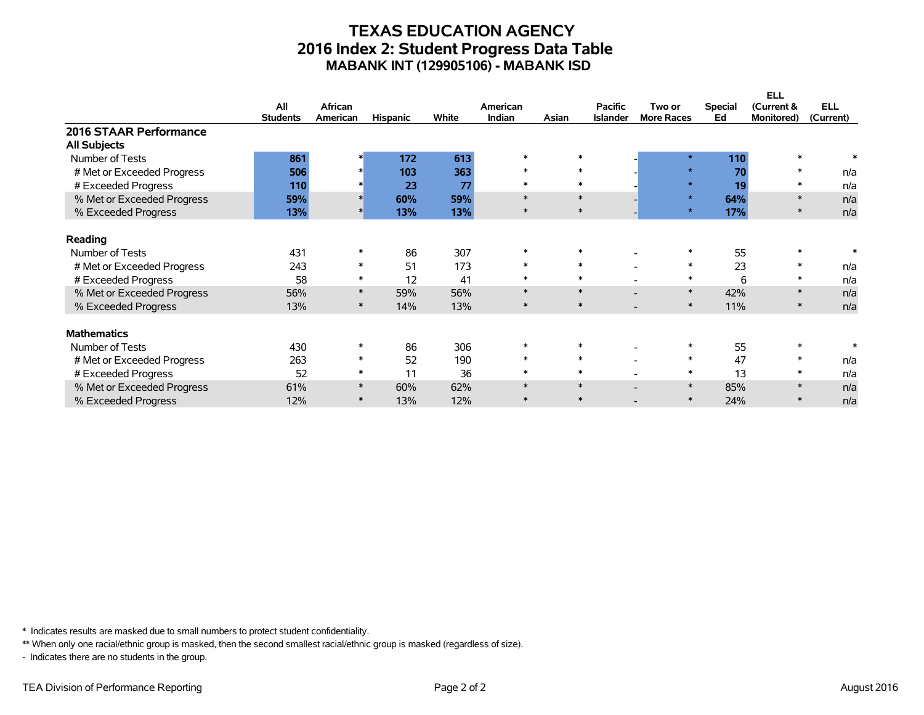## **TEXAS EDUCATION AGENCY 2016 Index 2: Student Progress Data Table MABANK INT (129905106) - MABANK ISD**

|                                               |                 |          |                 |       |          |        |                 |                   |                | <b>ELL</b>        |            |
|-----------------------------------------------|-----------------|----------|-----------------|-------|----------|--------|-----------------|-------------------|----------------|-------------------|------------|
|                                               | All             | African  |                 |       | American |        | <b>Pacific</b>  | Two or            | <b>Special</b> | (Current &        | <b>ELL</b> |
|                                               | <b>Students</b> | American | <b>Hispanic</b> | White | Indian   | Asian  | <b>Islander</b> | <b>More Races</b> | Ed             | <b>Monitored)</b> | (Current)  |
| 2016 STAAR Performance<br><b>All Subjects</b> |                 |          |                 |       |          |        |                 |                   |                |                   |            |
| Number of Tests                               | 861             |          | 172             | 613   | $\ast$   | $\ast$ |                 | $\star$           | 110            |                   |            |
| # Met or Exceeded Progress                    | 506             |          | 103             | 363   | $\ast$   | $\ast$ |                 | $\star$           | 70             | $\ast$            | n/a        |
| # Exceeded Progress                           | 110             |          | 23              | 77    | $\ast$   | $\ast$ |                 | $\star$           | 19             | $\ast$            | n/a        |
| % Met or Exceeded Progress                    | 59%             |          | 60%             | 59%   | $\ast$   | $\ast$ |                 | $\star$           | 64%            | $\ast$            | n/a        |
| % Exceeded Progress                           | 13%             |          | 13%             | 13%   | $\ast$   | $\ast$ |                 | $\star$           | 17%            |                   | n/a        |
| Reading                                       |                 |          |                 |       |          |        |                 |                   |                |                   |            |
| Number of Tests                               | 431             |          | 86              | 307   | $\ast$   | $\ast$ |                 |                   | 55             |                   |            |
| # Met or Exceeded Progress                    | 243             | $\ast$   | 51              | 173   | $\ast$   | $\ast$ |                 | $\ast$            | 23             | $\ast$            | n/a        |
| # Exceeded Progress                           | 58              | $\ast$   | 12              | 41    | $\ast$   | $\ast$ |                 | $\ast$            | 6              | ∗                 | n/a        |
| % Met or Exceeded Progress                    | 56%             | $\ast$   | 59%             | 56%   | $\ast$   | $\ast$ |                 | $\ast$            | 42%            | $\ast$            | n/a        |
| % Exceeded Progress                           | 13%             | $\ast$   | 14%             | 13%   | $\ast$   | $\ast$ |                 | $\ast$            | 11%            | $\ast$            | n/a        |
| <b>Mathematics</b>                            |                 |          |                 |       |          |        |                 |                   |                |                   |            |
| Number of Tests                               | 430             |          | 86              | 306   |          |        |                 |                   | 55             |                   |            |
| # Met or Exceeded Progress                    | 263             | $\ast$   | 52              | 190   | $\ast$   | $\ast$ |                 | $\ast$            | 47             | $\ast$            | n/a        |
| # Exceeded Progress                           | 52              | $\ast$   | 11              | 36    | $\ast$   | $\ast$ |                 | $\ast$            | 13             | $\ast$            | n/a        |
| % Met or Exceeded Progress                    | 61%             | $\ast$   | 60%             | 62%   | $\ast$   | $\ast$ |                 | $\ast$            | 85%            | $\ast$            | n/a        |
| % Exceeded Progress                           | 12%             | $\ast$   | 13%             | 12%   | $\ast$   | $\ast$ |                 | $\ast$            | 24%            |                   | n/a        |

\* Indicates results are masked due to small numbers to protect student confidentiality.

\*\* When only one racial/ethnic group is masked, then the second smallest racial/ethnic group is masked (regardless of size).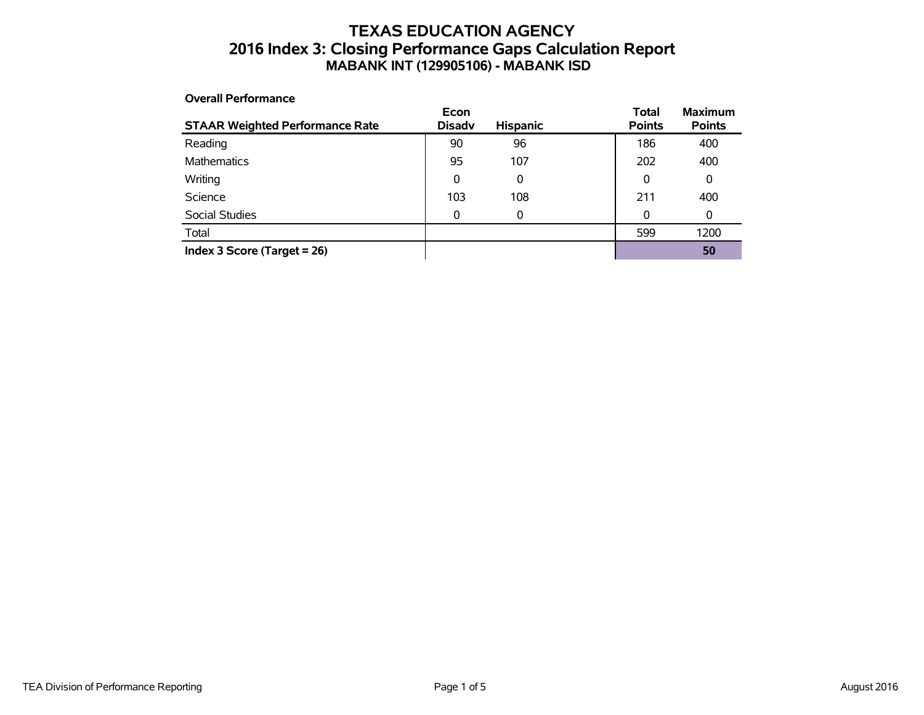## **TEXAS EDUCATION AGENCY 2016 Index 3: Closing Performance Gaps Calculation Report MABANK INT (129905106) - MABANK ISD**

#### **Overall Performance**

| <b>STAAR Weighted Performance Rate</b> | Econ<br><b>Disadv</b> | <b>Hispanic</b> | <b>Total</b><br><b>Points</b> | <b>Maximum</b><br><b>Points</b> |
|----------------------------------------|-----------------------|-----------------|-------------------------------|---------------------------------|
| Reading                                | 90                    | 96              | 186                           | 400                             |
| Mathematics                            | 95                    | 107             | 202                           | 400                             |
| Writing                                | 0                     | 0               | 0                             | 0                               |
| Science                                | 103                   | 108             | 211                           | 400                             |
| Social Studies                         | 0                     | 0               | 0                             | 0                               |
| Total                                  |                       |                 | 599                           | 1200                            |
| Index 3 Score (Target $= 26$ )         |                       |                 |                               | 50                              |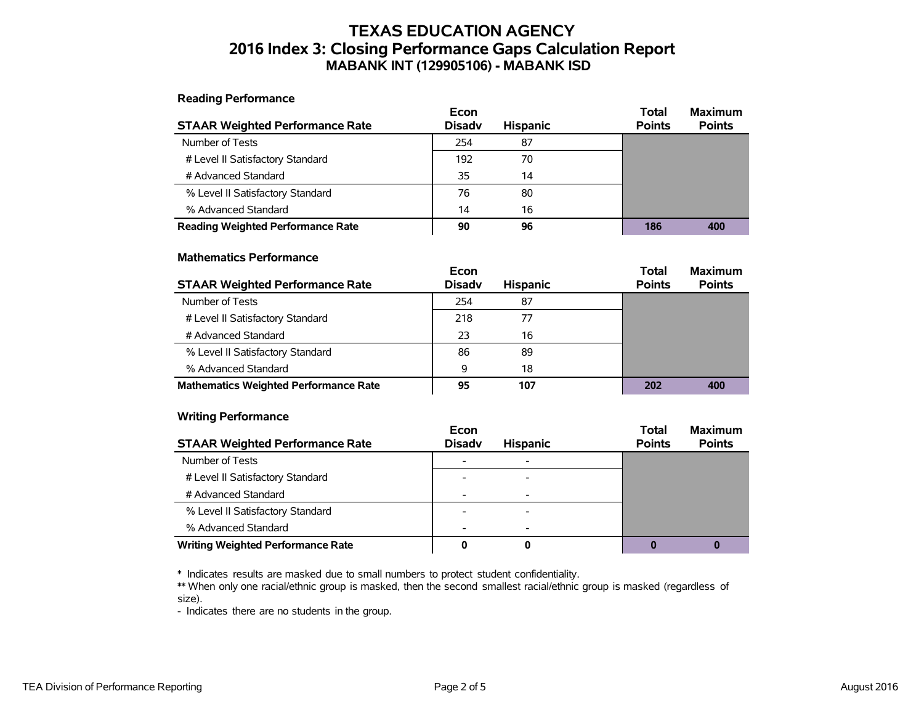## **TEXAS EDUCATION AGENCY 2016 Index 3: Closing Performance Gaps Calculation Report MABANK INT (129905106) - MABANK ISD**

**Reading Performance**

|                                          | Econ          |                 | <b>Total</b>  | <b>Maximum</b> |
|------------------------------------------|---------------|-----------------|---------------|----------------|
| <b>STAAR Weighted Performance Rate</b>   | <b>Disady</b> | <b>Hispanic</b> | <b>Points</b> | <b>Points</b>  |
| Number of Tests                          | 254           | 87              |               |                |
| # Level II Satisfactory Standard         | 192           | 70              |               |                |
| # Advanced Standard                      | 35            | 14              |               |                |
| % Level II Satisfactory Standard         | 76            | 80              |               |                |
| % Advanced Standard                      | 14            | 16              |               |                |
| <b>Reading Weighted Performance Rate</b> | 90            | 96              | 186           | 400            |

#### **Mathematics Performance**

|                                              | Econ          |                 | <b>Total</b>  | <b>Maximum</b> |
|----------------------------------------------|---------------|-----------------|---------------|----------------|
| <b>STAAR Weighted Performance Rate</b>       | <b>Disady</b> | <b>Hispanic</b> | <b>Points</b> | <b>Points</b>  |
| Number of Tests                              | 254           | 87              |               |                |
| # Level II Satisfactory Standard             | 218           | 77              |               |                |
| # Advanced Standard                          | 23            | 16              |               |                |
| % Level II Satisfactory Standard             | 86            | 89              |               |                |
| % Advanced Standard                          | 9             | 18              |               |                |
| <b>Mathematics Weighted Performance Rate</b> | 95            | 107             | 202           | 400            |

#### **Writing Performance**

|                                          | Econ          |                 | <b>Total</b>  | <b>Maximum</b> |
|------------------------------------------|---------------|-----------------|---------------|----------------|
| <b>STAAR Weighted Performance Rate</b>   | <b>Disady</b> | <b>Hispanic</b> | <b>Points</b> | <b>Points</b>  |
| Number of Tests                          |               |                 |               |                |
| # Level II Satisfactory Standard         |               |                 |               |                |
| # Advanced Standard                      |               |                 |               |                |
| % Level II Satisfactory Standard         |               |                 |               |                |
| % Advanced Standard                      |               |                 |               |                |
| <b>Writing Weighted Performance Rate</b> |               | O               |               |                |

\* Indicates results are masked due to small numbers to protect student confidentiality.

\*\* When only one racial/ethnic group is masked, then the second smallest racial/ethnic group is masked (regardless of size).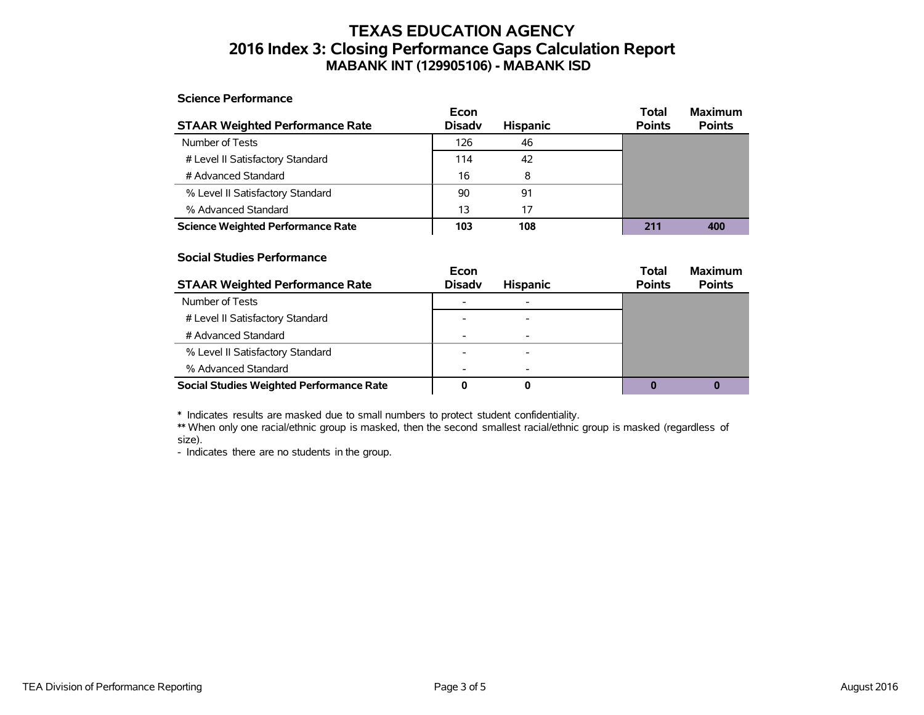## **TEXAS EDUCATION AGENCY 2016 Index 3: Closing Performance Gaps Calculation Report MABANK INT (129905106) - MABANK ISD**

#### **Science Performance**

|                                          | Econ          |                 | Total         | <b>Maximum</b> |
|------------------------------------------|---------------|-----------------|---------------|----------------|
| <b>STAAR Weighted Performance Rate</b>   | <b>Disady</b> | <b>Hispanic</b> | <b>Points</b> | <b>Points</b>  |
| Number of Tests                          | 126           | 46              |               |                |
| # Level II Satisfactory Standard         | 114           | 42              |               |                |
| # Advanced Standard                      | 16            | 8               |               |                |
| % Level II Satisfactory Standard         | 90            | 91              |               |                |
| % Advanced Standard                      | 13            | 17              |               |                |
| <b>Science Weighted Performance Rate</b> | 103           | 108             | 211           | 400            |

#### **Social Studies Performance**

|                                                 | Econ                     |                 | <b>Total</b>  | <b>Maximum</b> |
|-------------------------------------------------|--------------------------|-----------------|---------------|----------------|
| <b>STAAR Weighted Performance Rate</b>          | <b>Disadv</b>            | <b>Hispanic</b> | <b>Points</b> | <b>Points</b>  |
| Number of Tests                                 |                          |                 |               |                |
| # Level II Satisfactory Standard                |                          |                 |               |                |
| # Advanced Standard                             | $\overline{\phantom{0}}$ |                 |               |                |
| % Level II Satisfactory Standard                |                          |                 |               |                |
| % Advanced Standard                             |                          |                 |               |                |
| <b>Social Studies Weighted Performance Rate</b> |                          |                 |               |                |

\* Indicates results are masked due to small numbers to protect student confidentiality.

\*\* When only one racial/ethnic group is masked, then the second smallest racial/ethnic group is masked (regardless of size).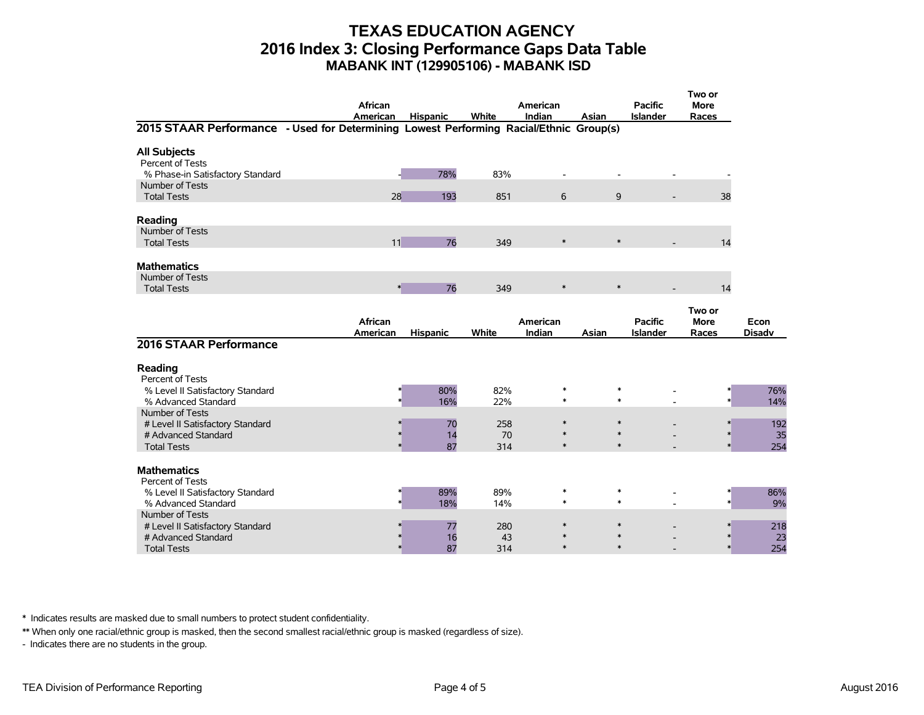### **TEXAS EDUCATION AGENCY 2016 Index 3: Closing Performance Gaps Data Table MABANK INT (129905106) - MABANK ISD**

| 2015 STAAR Performance - Used for Determining Lowest Performing Racial/Ethnic Group(s) | African<br>American | <b>Hispanic</b> | White      | American<br>Indian | Asian            | <b>Pacific</b><br><b>Islander</b> | Two or<br><b>More</b><br>Races |               |
|----------------------------------------------------------------------------------------|---------------------|-----------------|------------|--------------------|------------------|-----------------------------------|--------------------------------|---------------|
|                                                                                        |                     |                 |            |                    |                  |                                   |                                |               |
| <b>All Subjects</b><br>Percent of Tests<br>% Phase-in Satisfactory Standard            |                     | 78%             | 83%        |                    |                  |                                   |                                |               |
| Number of Tests<br><b>Total Tests</b>                                                  | 28                  | 193             | 851        | 6                  | 9                |                                   | 38                             |               |
|                                                                                        |                     |                 |            |                    |                  |                                   |                                |               |
| Reading<br>Number of Tests                                                             |                     |                 |            |                    |                  |                                   |                                |               |
| <b>Total Tests</b>                                                                     | 11                  | 76              | 349        | $\ast$             | $\ast$           |                                   | 14                             |               |
|                                                                                        |                     |                 |            |                    |                  |                                   |                                |               |
| <b>Mathematics</b><br>Number of Tests                                                  |                     |                 |            |                    |                  |                                   |                                |               |
| <b>Total Tests</b>                                                                     |                     | $\ast$<br>76    | 349        | $\ast$             | $\ast$           |                                   | 14                             |               |
|                                                                                        |                     |                 |            |                    |                  |                                   |                                |               |
|                                                                                        | African             |                 |            | American           |                  | <b>Pacific</b>                    | Two or<br><b>More</b>          | Econ          |
|                                                                                        | American            | <b>Hispanic</b> | White      | Indian             | Asian            | <b>Islander</b>                   | Races                          | <b>Disadv</b> |
| 2016 STAAR Performance                                                                 |                     |                 |            |                    |                  |                                   |                                |               |
| Reading<br>Percent of Tests                                                            |                     |                 |            |                    |                  |                                   |                                |               |
| % Level II Satisfactory Standard<br>% Advanced Standard                                |                     | 80%<br>16%      | 82%<br>22% | $\ast$<br>$\ast$   | $\ast$<br>$\ast$ |                                   |                                | 76%<br>14%    |
| Number of Tests                                                                        |                     |                 |            |                    |                  |                                   |                                |               |
| # Level II Satisfactory Standard                                                       |                     | 70              | 258        | $\ast$             | $\ast$           |                                   |                                | 192           |
| # Advanced Standard                                                                    |                     | 14              | 70         | $\ast$             | $\ast$           |                                   |                                | 35            |
| <b>Total Tests</b>                                                                     |                     | 87              | 314        | $\ast$             | $\ast$           |                                   |                                | 254           |
| <b>Mathematics</b><br>Percent of Tests                                                 |                     |                 |            |                    |                  |                                   |                                |               |
| % Level II Satisfactory Standard<br>% Advanced Standard                                |                     | 89%<br>18%      | 89%<br>14% | $\ast$<br>$\ast$   | $\ast$<br>$\ast$ |                                   |                                | 86%<br>9%     |
| Number of Tests                                                                        |                     |                 |            |                    |                  |                                   |                                |               |
| # Level II Satisfactory Standard                                                       |                     | 77              | 280        | $\ast$             | $\ast$           |                                   |                                | 218           |
| # Advanced Standard<br><b>Total Tests</b>                                              |                     | 16<br>87        | 43<br>314  | $\ast$             | $\ast$           |                                   |                                | 23<br>254     |

\* Indicates results are masked due to small numbers to protect student confidentiality.

\*\* When only one racial/ethnic group is masked, then the second smallest racial/ethnic group is masked (regardless of size).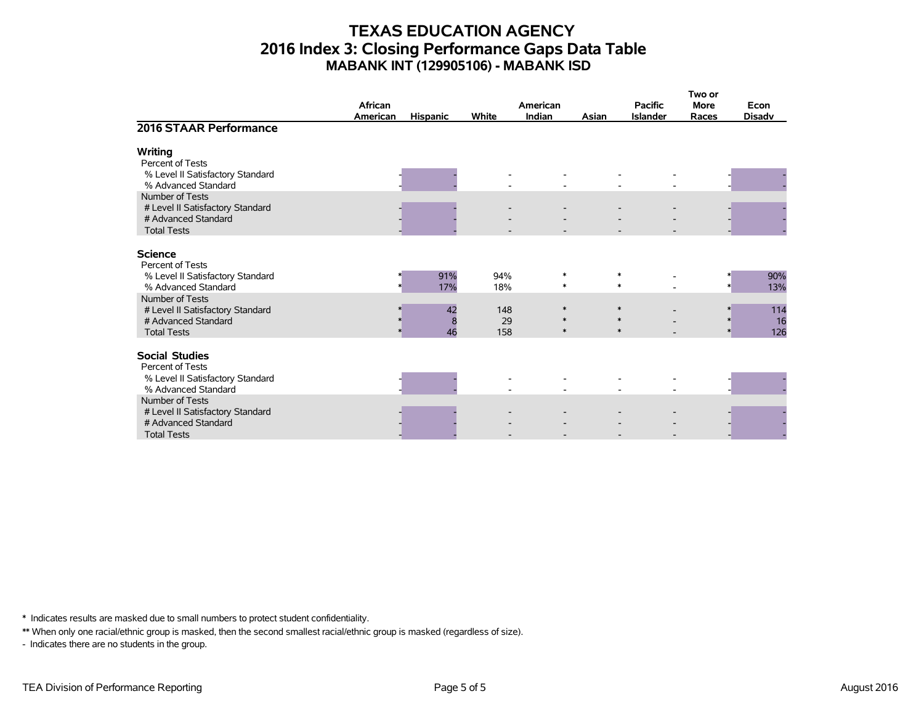## **TEXAS EDUCATION AGENCY 2016 Index 3: Closing Performance Gaps Data Table MABANK INT (129905106) - MABANK ISD**

|                                                                                                      | African<br>American | <b>Hispanic</b>              | White            | American<br><b>Indian</b> | Asian | <b>Pacific</b><br><b>Islander</b> | Two or<br><b>More</b><br>Races | Econ<br><b>Disadv</b> |
|------------------------------------------------------------------------------------------------------|---------------------|------------------------------|------------------|---------------------------|-------|-----------------------------------|--------------------------------|-----------------------|
| 2016 STAAR Performance                                                                               |                     |                              |                  |                           |       |                                   |                                |                       |
| Writing<br>Percent of Tests<br>% Level II Satisfactory Standard<br>% Advanced Standard               |                     |                              |                  |                           |       |                                   |                                |                       |
| Number of Tests<br># Level II Satisfactory Standard<br># Advanced Standard<br><b>Total Tests</b>     |                     |                              |                  |                           |       |                                   |                                |                       |
| <b>Science</b><br>Percent of Tests<br>% Level II Satisfactory Standard<br>% Advanced Standard        |                     | 91%<br>17%                   | 94%<br>18%       | $\ast$<br>$\ast$          |       | $\ast$<br>$\ast$                  |                                | 90%<br>13%            |
| Number of Tests<br># Level II Satisfactory Standard<br># Advanced Standard<br><b>Total Tests</b>     |                     | 42<br>$\boldsymbol{8}$<br>46 | 148<br>29<br>158 | $\ast$<br>∗<br>$\ast$     |       | $\ast$<br>$\ast$                  | $\ast$                         | 114<br>16<br>126      |
| <b>Social Studies</b><br>Percent of Tests<br>% Level II Satisfactory Standard<br>% Advanced Standard |                     |                              |                  |                           |       |                                   |                                |                       |
| Number of Tests<br># Level II Satisfactory Standard<br># Advanced Standard<br><b>Total Tests</b>     |                     |                              |                  |                           |       |                                   |                                |                       |

\* Indicates results are masked due to small numbers to protect student confidentiality.

\*\* When only one racial/ethnic group is masked, then the second smallest racial/ethnic group is masked (regardless of size).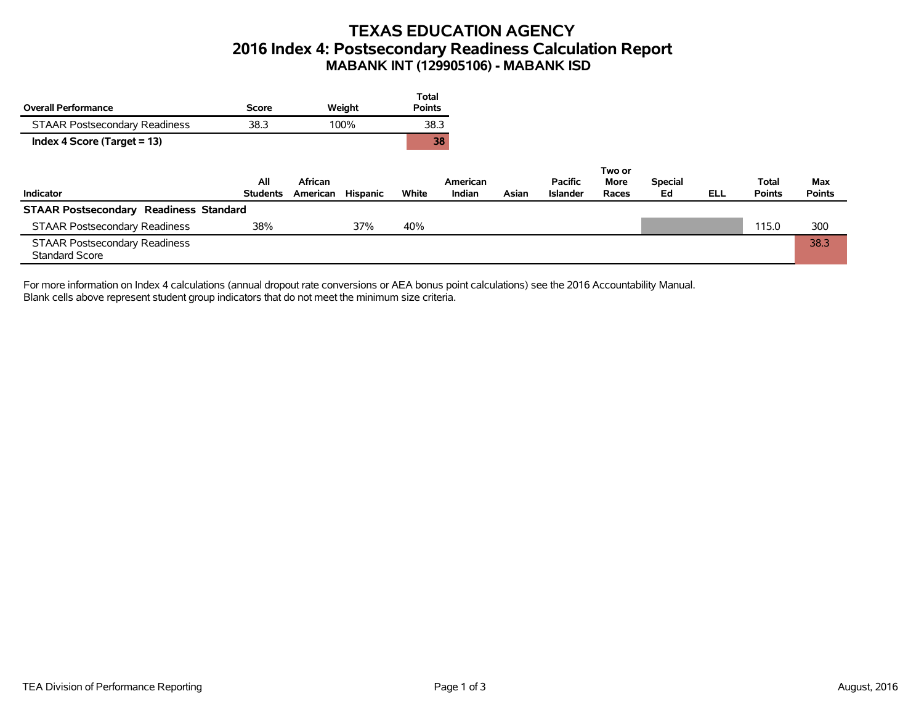# **TEXAS EDUCATION AGENCY 2016 Index 4: Postsecondary Readiness Calculation Report MABANK INT (129905106) - MABANK ISD**

|                                                               |                        |                     |          | <b>Total</b>  |                    |       |                                   |               |                      |            |                        |                      |
|---------------------------------------------------------------|------------------------|---------------------|----------|---------------|--------------------|-------|-----------------------------------|---------------|----------------------|------------|------------------------|----------------------|
| <b>Overall Performance</b>                                    | <b>Score</b>           |                     | Weight   | <b>Points</b> |                    |       |                                   |               |                      |            |                        |                      |
| <b>STAAR Postsecondary Readiness</b>                          | 38.3                   | 100%                |          | 38.3          |                    |       |                                   |               |                      |            |                        |                      |
| Index 4 Score (Target = 13)                                   |                        |                     |          |               | 38                 |       |                                   |               |                      |            |                        |                      |
|                                                               |                        |                     |          |               |                    |       |                                   | Two or        |                      |            |                        |                      |
| Indicator                                                     | All<br><b>Students</b> | African<br>American | Hispanic | White         | American<br>Indian | Asian | <b>Pacific</b><br><b>Islander</b> | More<br>Races | <b>Special</b><br>Ed | <b>ELL</b> | Total<br><b>Points</b> | Max<br><b>Points</b> |
| <b>STAAR Postsecondary Readiness Standard</b>                 |                        |                     |          |               |                    |       |                                   |               |                      |            |                        |                      |
| <b>STAAR Postsecondary Readiness</b>                          | 38%                    |                     | 37%      | 40%           |                    |       |                                   |               |                      |            | 115.0                  | 300                  |
| <b>STAAR Postsecondary Readiness</b><br><b>Standard Score</b> |                        |                     |          |               |                    |       |                                   |               |                      |            |                        | 38.3                 |

For more information on Index 4 calculations (annual dropout rate conversions or AEA bonus point calculations) see the 2016 Accountability Manual. Blank cells above represent student group indicators that do not meet the minimum size criteria.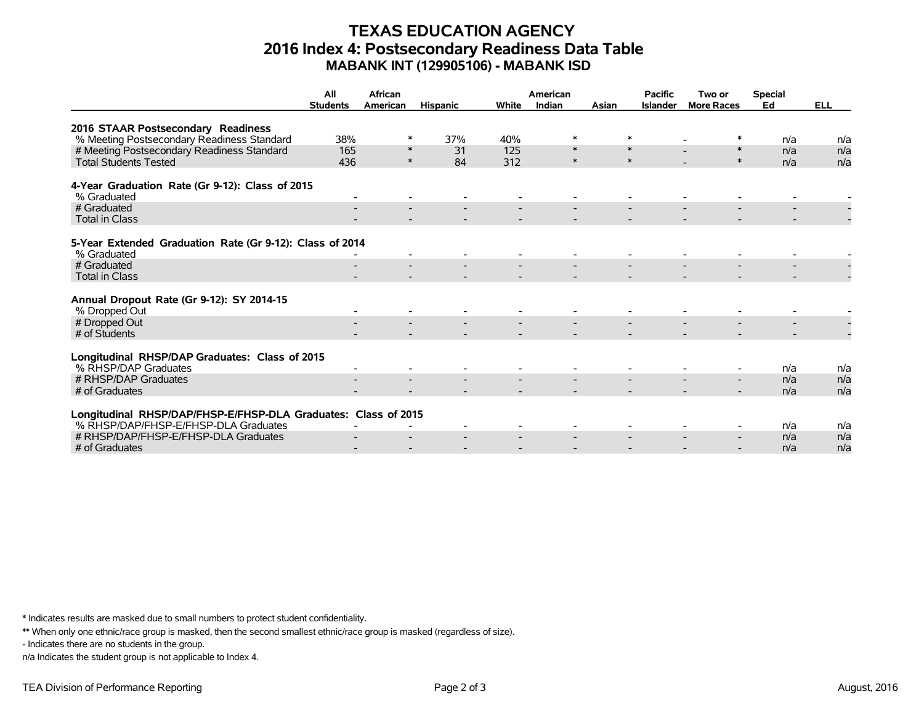## **TEXAS EDUCATION AGENCY 2016 Index 4: Postsecondary Readiness Data Table MABANK INT (129905106) - MABANK ISD**

|                                                                         | All             | African  |                 |       | American |        | <b>Pacific</b>  | Two or                   | <b>Special</b> |            |
|-------------------------------------------------------------------------|-----------------|----------|-----------------|-------|----------|--------|-----------------|--------------------------|----------------|------------|
|                                                                         | <b>Students</b> | American | <b>Hispanic</b> | White | Indian   | Asian  | <b>Islander</b> | <b>More Races</b>        | Ed             | <b>ELL</b> |
| 2016 STAAR Postsecondary Readiness                                      |                 |          |                 |       |          |        |                 |                          |                |            |
| % Meeting Postsecondary Readiness Standard                              | 38%             | ∗        | 37%             | 40%   | ∗        |        |                 |                          | n/a            | n/a        |
| # Meeting Postsecondary Readiness Standard                              | 165             | $\ast$   | 31              | 125   | $\ast$   | $\ast$ |                 | $\ast$                   | n/a            | n/a        |
| <b>Total Students Tested</b>                                            | 436             | $\ast$   | 84              | 312   | $\ast$   | $\ast$ |                 | $\ast$                   | n/a            | n/a        |
| 4-Year Graduation Rate (Gr 9-12): Class of 2015<br>% Graduated          |                 |          |                 |       |          |        |                 |                          |                |            |
| # Graduated                                                             |                 |          |                 |       |          |        |                 |                          |                |            |
| <b>Total in Class</b>                                                   |                 |          |                 |       |          |        |                 |                          |                |            |
| 5-Year Extended Graduation Rate (Gr 9-12): Class of 2014<br>% Graduated |                 |          |                 |       |          |        |                 |                          |                |            |
| # Graduated                                                             |                 |          |                 |       |          |        |                 |                          |                |            |
| <b>Total in Class</b>                                                   |                 |          |                 |       |          |        |                 |                          |                |            |
| Annual Dropout Rate (Gr 9-12): SY 2014-15<br>% Dropped Out              |                 |          |                 |       |          |        |                 |                          |                |            |
| # Dropped Out                                                           |                 |          |                 |       |          |        |                 |                          |                |            |
| # of Students                                                           |                 |          |                 |       |          |        |                 |                          |                |            |
| Longitudinal RHSP/DAP Graduates: Class of 2015<br>% RHSP/DAP Graduates  |                 |          |                 |       |          |        |                 |                          | n/a            | n/a        |
| # RHSP/DAP Graduates                                                    |                 |          |                 |       |          |        |                 | $\overline{\phantom{0}}$ | n/a            | n/a        |
| # of Graduates                                                          |                 |          |                 |       |          |        |                 | $\overline{\phantom{0}}$ | n/a            | n/a        |
| Longitudinal RHSP/DAP/FHSP-E/FHSP-DLA Graduates: Class of 2015          |                 |          |                 |       |          |        |                 |                          |                |            |
| % RHSP/DAP/FHSP-E/FHSP-DLA Graduates                                    |                 |          |                 |       |          |        |                 |                          | n/a            | n/a        |
| # RHSP/DAP/FHSP-E/FHSP-DLA Graduates                                    |                 |          |                 |       |          |        |                 | $\overline{\phantom{0}}$ | n/a            | n/a        |
| # of Graduates                                                          |                 |          |                 |       |          |        |                 |                          | n/a            | n/a        |

\* Indicates results are masked due to small numbers to protect student confidentiality.

\*\* When only one ethnic/race group is masked, then the second smallest ethnic/race group is masked (regardless of size).

- Indicates there are no students in the group.

n/a Indicates the student group is not applicable to Index 4.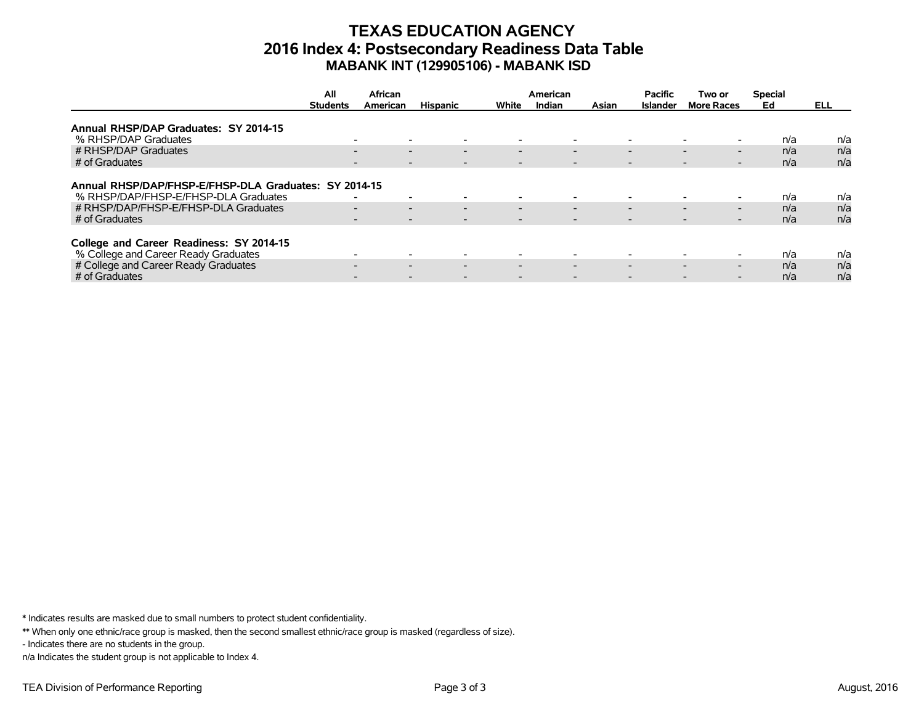## **TEXAS EDUCATION AGENCY 2016 Index 4: Postsecondary Readiness Data Table MABANK INT (129905106) - MABANK ISD**

|                                                       | All             | African                                              |                          |                          | American                 |                          | <b>Pacific</b>           | Two or                                               | <b>Special</b> |      |
|-------------------------------------------------------|-----------------|------------------------------------------------------|--------------------------|--------------------------|--------------------------|--------------------------|--------------------------|------------------------------------------------------|----------------|------|
|                                                       | <b>Students</b> | American                                             | <b>Hispanic</b>          | White                    | Indian                   | Asian                    | <b>Islander</b>          | <b>More Races</b>                                    | Ed             | ELL. |
|                                                       |                 |                                                      |                          |                          |                          |                          |                          |                                                      |                |      |
| Annual RHSP/DAP Graduates: SY 2014-15                 |                 |                                                      |                          |                          |                          |                          |                          |                                                      |                |      |
| % RHSP/DAP Graduates                                  |                 | $\overline{\phantom{a}}$                             |                          |                          | $\overline{\phantom{0}}$ |                          | $\overline{\phantom{0}}$ |                                                      | n/a            | n/a  |
| # RHSP/DAP Graduates                                  |                 | $\overline{\phantom{0}}$<br>$\overline{\phantom{0}}$ | $\overline{\phantom{0}}$ | $\overline{\phantom{0}}$ | $\overline{\phantom{0}}$ |                          | $\overline{\phantom{0}}$ | $\overline{\phantom{0}}$<br>$\overline{\phantom{0}}$ | n/a            | n/a  |
| # of Graduates                                        |                 | $\overline{\phantom{a}}$                             |                          |                          | $\overline{\phantom{a}}$ | $\overline{\phantom{a}}$ |                          | $\overline{\phantom{a}}$                             | n/a            | n/a  |
|                                                       |                 |                                                      |                          |                          |                          |                          |                          |                                                      |                |      |
| Annual RHSP/DAP/FHSP-E/FHSP-DLA Graduates: SY 2014-15 |                 |                                                      |                          |                          |                          |                          |                          |                                                      |                |      |
| % RHSP/DAP/FHSP-E/FHSP-DLA Graduates                  |                 | $\overline{\phantom{a}}$<br>$\overline{\phantom{0}}$ |                          |                          | $\overline{\phantom{0}}$ |                          | $\overline{\phantom{0}}$ |                                                      | n/a            | n/a  |
| # RHSP/DAP/FHSP-E/FHSP-DLA Graduates                  |                 | $\overline{\phantom{0}}$<br>$\overline{\phantom{0}}$ | $\overline{\phantom{0}}$ | $\overline{\phantom{0}}$ | $\overline{\phantom{0}}$ |                          | $\overline{\phantom{0}}$ | $\overline{\phantom{0}}$<br>$\overline{\phantom{0}}$ | n/a            | n/a  |
| # of Graduates                                        |                 | $\overline{\phantom{a}}$<br>$\overline{\phantom{0}}$ |                          | $\overline{\phantom{0}}$ | $\overline{\phantom{0}}$ |                          | $\overline{\phantom{0}}$ | $\overline{\phantom{0}}$<br>-                        | n/a            | n/a  |
|                                                       |                 |                                                      |                          |                          |                          |                          |                          |                                                      |                |      |
| College and Career Readiness: SY 2014-15              |                 |                                                      |                          |                          |                          |                          |                          |                                                      |                |      |
| % College and Career Ready Graduates                  |                 | $\overline{\phantom{0}}$                             |                          |                          | $\overline{\phantom{0}}$ |                          | $\overline{\phantom{0}}$ |                                                      | n/a            | n/a  |
| # College and Career Ready Graduates                  |                 | $\overline{\phantom{0}}$<br>$\overline{\phantom{0}}$ | $\overline{\phantom{0}}$ | $\overline{\phantom{0}}$ | $\overline{\phantom{0}}$ |                          | $\overline{\phantom{0}}$ | $\overline{\phantom{0}}$<br>$\overline{\phantom{0}}$ | n/a            | n/a  |
| # of Graduates                                        |                 |                                                      |                          |                          |                          |                          |                          |                                                      | n/a            | n/a  |

\* Indicates results are masked due to small numbers to protect student confidentiality.

\*\* When only one ethnic/race group is masked, then the second smallest ethnic/race group is masked (regardless of size).

- Indicates there are no students in the group.

n/a Indicates the student group is not applicable to Index 4.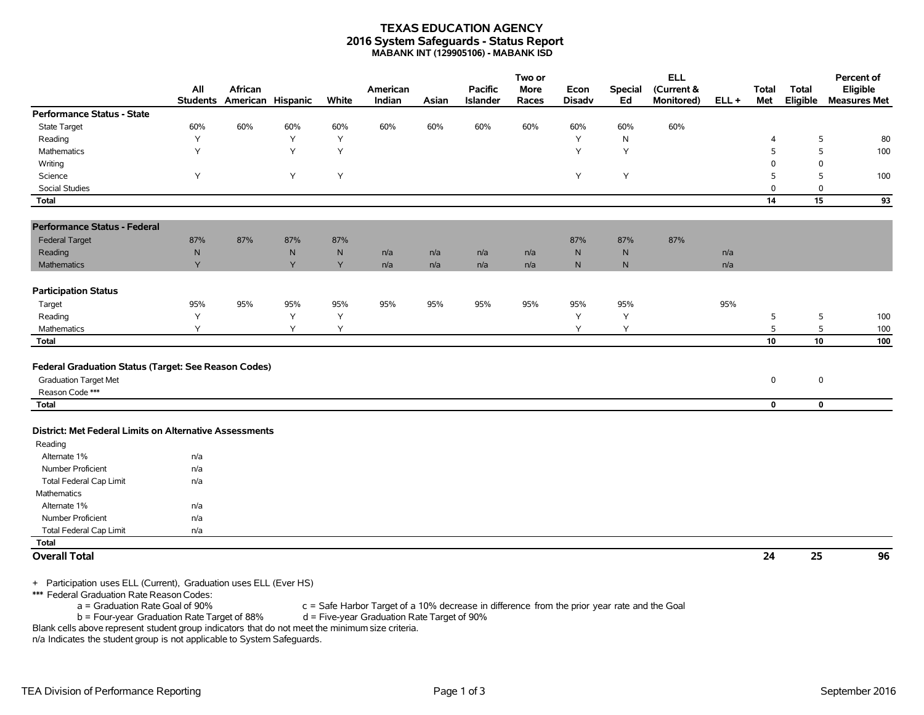#### **TEXAS EDUCATION AGENCY 2016 System Safeguards - Status Report MABANK INT (129905106) - MABANK ISD**

|                                                                                                         |                        |                              |           |           |                    |       |                            | Two or               |                       |                      | <b>ELL</b>               |         |                     |                          | Percent of                      |
|---------------------------------------------------------------------------------------------------------|------------------------|------------------------------|-----------|-----------|--------------------|-------|----------------------------|----------------------|-----------------------|----------------------|--------------------------|---------|---------------------|--------------------------|---------------------------------|
|                                                                                                         | All<br><b>Students</b> | African<br>American Hispanic |           | White     | American<br>Indian | Asian | <b>Pacific</b><br>Islander | <b>More</b><br>Races | Econ<br><b>Disadv</b> | <b>Special</b><br>Ed | (Current &<br>Monitored) | $ELL +$ | <b>Total</b><br>Met | <b>Total</b><br>Eligible | Eligible<br><b>Measures Met</b> |
| Performance Status - State                                                                              |                        |                              |           |           |                    |       |                            |                      |                       |                      |                          |         |                     |                          |                                 |
| <b>State Target</b>                                                                                     | 60%                    | 60%                          | 60%       | 60%       | 60%                | 60%   | 60%                        | 60%                  | 60%                   | 60%                  | 60%                      |         |                     |                          |                                 |
| Reading                                                                                                 | Y                      |                              | Y         | Y         |                    |       |                            |                      | Υ                     | N                    |                          |         | 4                   | 5                        | 80                              |
| Mathematics                                                                                             | Y                      |                              | Y         | Y         |                    |       |                            |                      | Y                     | Y                    |                          |         | 5                   | 5                        | 100                             |
| Writing                                                                                                 |                        |                              |           |           |                    |       |                            |                      |                       |                      |                          |         | $\Omega$            | $\mathbf 0$              |                                 |
| Science                                                                                                 | Υ                      |                              | Y         | Υ         |                    |       |                            |                      | Y                     | Υ                    |                          |         | 5                   | 5                        | 100                             |
| <b>Social Studies</b>                                                                                   |                        |                              |           |           |                    |       |                            |                      |                       |                      |                          |         | $\mathbf 0$         | $\mathbf 0$              |                                 |
| <b>Total</b>                                                                                            |                        |                              |           |           |                    |       |                            |                      |                       |                      |                          |         | 14                  | 15                       | 93                              |
| <b>Performance Status - Federal</b>                                                                     |                        |                              |           |           |                    |       |                            |                      |                       |                      |                          |         |                     |                          |                                 |
| <b>Federal Target</b>                                                                                   | 87%                    | 87%                          | 87%       | 87%       |                    |       |                            |                      | 87%                   | 87%                  | 87%                      |         |                     |                          |                                 |
| Reading                                                                                                 | ${\sf N}$              |                              | ${\sf N}$ | ${\sf N}$ | n/a                | n/a   | n/a                        | n/a                  | ${\sf N}$             | ${\sf N}$            |                          | n/a     |                     |                          |                                 |
| <b>Mathematics</b>                                                                                      | Y                      |                              | Y         | Y         | n/a                | n/a   | n/a                        | n/a                  | N                     | $\mathsf{N}$         |                          | n/a     |                     |                          |                                 |
| <b>Participation Status</b>                                                                             |                        |                              |           |           |                    |       |                            |                      |                       |                      |                          |         |                     |                          |                                 |
| Target                                                                                                  | 95%                    | 95%                          | 95%       | 95%       | 95%                | 95%   | 95%                        | 95%                  | 95%                   | 95%                  |                          | 95%     |                     |                          |                                 |
| Reading                                                                                                 | Y                      |                              | Y         | Y         |                    |       |                            |                      | Υ                     | Y                    |                          |         | 5                   | 5                        | 100                             |
| Mathematics                                                                                             | Y                      |                              | Υ         | Y         |                    |       |                            |                      | Y                     | Υ                    |                          |         | 5                   | 5                        | 100                             |
| Total                                                                                                   |                        |                              |           |           |                    |       |                            |                      |                       |                      |                          |         | 10                  | 10                       | 100                             |
| Federal Graduation Status (Target: See Reason Codes)<br><b>Graduation Target Met</b><br>Reason Code *** |                        |                              |           |           |                    |       |                            |                      |                       |                      |                          |         | $\mathbf 0$         | $\mathsf 0$              |                                 |
| Total                                                                                                   |                        |                              |           |           |                    |       |                            |                      |                       |                      |                          |         | $\mathbf 0$         | $\mathbf 0$              |                                 |
| District: Met Federal Limits on Alternative Assessments<br>Reading                                      |                        |                              |           |           |                    |       |                            |                      |                       |                      |                          |         |                     |                          |                                 |
| Alternate 1%                                                                                            | n/a                    |                              |           |           |                    |       |                            |                      |                       |                      |                          |         |                     |                          |                                 |
| Number Proficient                                                                                       | n/a                    |                              |           |           |                    |       |                            |                      |                       |                      |                          |         |                     |                          |                                 |
| <b>Total Federal Cap Limit</b>                                                                          | n/a                    |                              |           |           |                    |       |                            |                      |                       |                      |                          |         |                     |                          |                                 |
| Mathematics                                                                                             |                        |                              |           |           |                    |       |                            |                      |                       |                      |                          |         |                     |                          |                                 |
| Alternate 1%                                                                                            | n/a                    |                              |           |           |                    |       |                            |                      |                       |                      |                          |         |                     |                          |                                 |
| Number Proficient                                                                                       | n/a                    |                              |           |           |                    |       |                            |                      |                       |                      |                          |         |                     |                          |                                 |
| <b>Total Federal Cap Limit</b>                                                                          | n/a                    |                              |           |           |                    |       |                            |                      |                       |                      |                          |         |                     |                          |                                 |
| <b>Total</b>                                                                                            |                        |                              |           |           |                    |       |                            |                      |                       |                      |                          |         |                     |                          |                                 |
| <b>Overall Total</b>                                                                                    |                        |                              |           |           |                    |       |                            |                      |                       |                      |                          |         | 24                  | 25                       | 96                              |

+ Participation uses ELL (Current), Graduation uses ELL (Ever HS)

\*\*\* Federal Graduation Rate Reason Codes:

 $a =$  Graduation Rate Goal of 90% c = Safe Harbor Target of a 10% decrease in difference from the prior year rate and the Goal b = Four-year Graduation Rate Target of 90%  $b =$  Four-year Graduation Rate Target of 88%

Blank cells above represent student group indicators that do not meet the minimum size criteria.

n/a Indicates the student group is not applicable to System Safeguards.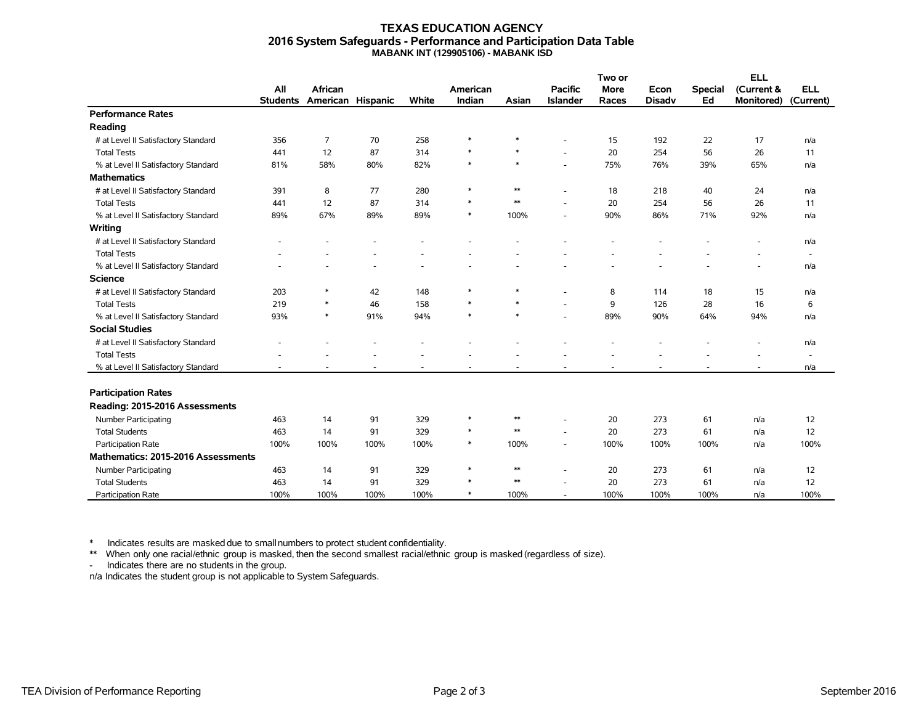#### **TEXAS EDUCATION AGENCY 2016 System Safeguards - Performance and Participation Data Table MABANK INT (129905106) - MABANK ISD**

|                                     |                 | African           |      |       |          |            |                          | Two or      |               |                | <b>ELL</b>        |                          |
|-------------------------------------|-----------------|-------------------|------|-------|----------|------------|--------------------------|-------------|---------------|----------------|-------------------|--------------------------|
|                                     | All             |                   |      |       | American |            | <b>Pacific</b>           | <b>More</b> | Econ          | <b>Special</b> | (Current &        | <b>ELL</b>               |
|                                     | <b>Students</b> | American Hispanic |      | White | Indian   | Asian      | <b>Islander</b>          | Races       | <b>Disadv</b> | Ed             | <b>Monitored)</b> | (Current)                |
| <b>Performance Rates</b>            |                 |                   |      |       |          |            |                          |             |               |                |                   |                          |
| Reading                             |                 |                   |      |       |          |            |                          |             |               |                |                   |                          |
| # at Level II Satisfactory Standard | 356             | 7                 | 70   | 258   | $\ast$   | $\ast$     |                          | 15          | 192           | 22             | 17                | n/a                      |
| <b>Total Tests</b>                  | 441             | 12                | 87   | 314   | $\ast$   | $\ast$     | ÷.                       | 20          | 254           | 56             | 26                | 11                       |
| % at Level II Satisfactory Standard | 81%             | 58%               | 80%  | 82%   | $\ast$   | $\ast$     | $\overline{\phantom{a}}$ | 75%         | 76%           | 39%            | 65%               | n/a                      |
| <b>Mathematics</b>                  |                 |                   |      |       |          |            |                          |             |               |                |                   |                          |
| # at Level II Satisfactory Standard | 391             | 8                 | 77   | 280   | $\ast$   | $\ast\ast$ | $\overline{\phantom{a}}$ | 18          | 218           | 40             | 24                | n/a                      |
| <b>Total Tests</b>                  | 441             | 12                | 87   | 314   | $\ast$   | $\ast\ast$ |                          | 20          | 254           | 56             | 26                | 11                       |
| % at Level II Satisfactory Standard | 89%             | 67%               | 89%  | 89%   | $\ast$   | 100%       |                          | 90%         | 86%           | 71%            | 92%               | n/a                      |
| Writing                             |                 |                   |      |       |          |            |                          |             |               |                |                   |                          |
| # at Level II Satisfactory Standard |                 |                   |      |       |          |            |                          |             |               |                |                   | n/a                      |
| <b>Total Tests</b>                  |                 |                   |      |       |          |            |                          |             |               |                |                   | $\overline{\phantom{a}}$ |
| % at Level II Satisfactory Standard |                 |                   |      |       |          |            |                          |             |               |                |                   | n/a                      |
| <b>Science</b>                      |                 |                   |      |       |          |            |                          |             |               |                |                   |                          |
| # at Level II Satisfactory Standard | 203             | $\ast$            | 42   | 148   | $\ast$   | $\ast$     |                          | 8           | 114           | 18             | 15                | n/a                      |
| <b>Total Tests</b>                  | 219             | $\ast$            | 46   | 158   | $\ast$   | $\ast$     |                          | 9           | 126           | 28             | 16                | 6                        |
| % at Level II Satisfactory Standard | 93%             | $\ast$            | 91%  | 94%   | $\ast$   | $\ast$     | ٠                        | 89%         | 90%           | 64%            | 94%               | n/a                      |
| <b>Social Studies</b>               |                 |                   |      |       |          |            |                          |             |               |                |                   |                          |
| # at Level II Satisfactory Standard |                 |                   |      |       |          |            |                          |             |               |                |                   | n/a                      |
| <b>Total Tests</b>                  |                 |                   |      |       |          |            |                          |             |               |                |                   | $\overline{\phantom{a}}$ |
| % at Level II Satisfactory Standard |                 |                   |      |       |          |            |                          |             |               |                |                   | n/a                      |
|                                     |                 |                   |      |       |          |            |                          |             |               |                |                   |                          |
| <b>Participation Rates</b>          |                 |                   |      |       |          |            |                          |             |               |                |                   |                          |
| Reading: 2015-2016 Assessments      |                 |                   |      |       |          |            |                          |             |               |                |                   |                          |
| <b>Number Participating</b>         | 463             | 14                | 91   | 329   | $\ast$   | $\ast\ast$ | ٠                        | 20          | 273           | 61             | n/a               | 12                       |
| <b>Total Students</b>               | 463             | 14                | 91   | 329   | $\ast$   | $\ast\ast$ |                          | 20          | 273           | 61             | n/a               | 12                       |
| Participation Rate                  | 100%            | 100%              | 100% | 100%  | $\ast$   | 100%       | $\overline{\phantom{a}}$ | 100%        | 100%          | 100%           | n/a               | 100%                     |
| Mathematics: 2015-2016 Assessments  |                 |                   |      |       |          |            |                          |             |               |                |                   |                          |
| Number Participating                | 463             | 14                | 91   | 329   | $\ast$   | $**$       |                          | 20          | 273           | 61             | n/a               | 12                       |
| <b>Total Students</b>               | 463             | 14                | 91   | 329   | $\ast$   | $\ast\ast$ |                          | 20          | 273           | 61             | n/a               | 12                       |
| Participation Rate                  | 100%            | 100%              | 100% | 100%  | $\ast$   | 100%       |                          | 100%        | 100%          | 100%           | n/a               | 100%                     |

\* Indicates results are masked due to smallnumbers to protect student confidentiality.

\*\* When only one racial/ethnic group is masked, then the second smallest racial/ethnic group is masked (regardless of size).

- Indicates there are no students in the group.

n/a Indicates the student group is not applicable to System Safeguards.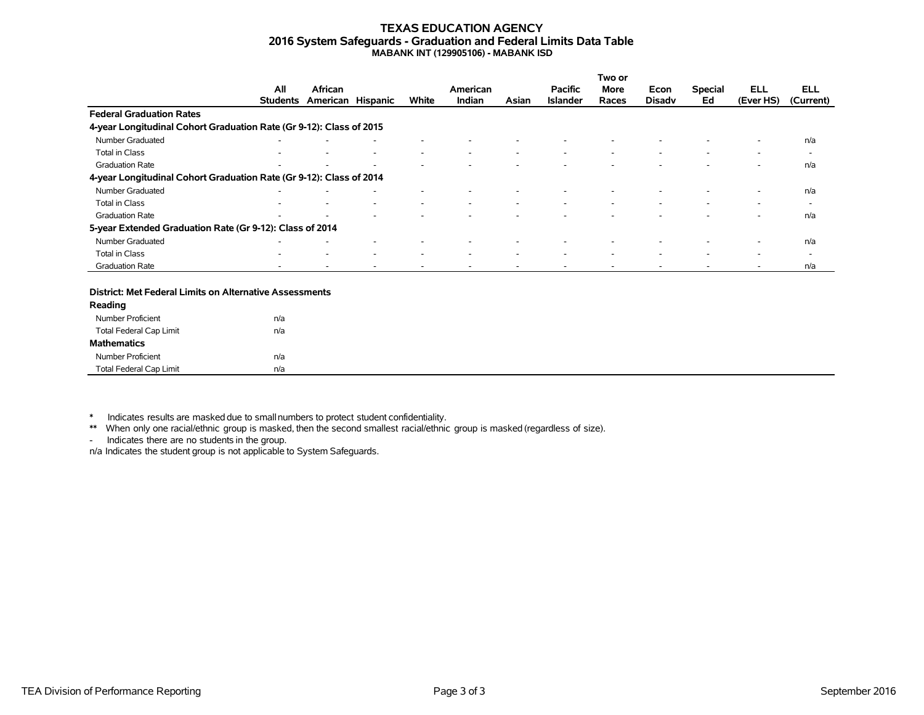#### **TEXAS EDUCATION AGENCY 2016 System Safeguards - Graduation and Federal Limits Data Table MABANK INT (129905106) - MABANK ISD**

|                                                                     |                 |                   |   |                          |          |       |                 | Two or                   |                          |                          |           |                          |
|---------------------------------------------------------------------|-----------------|-------------------|---|--------------------------|----------|-------|-----------------|--------------------------|--------------------------|--------------------------|-----------|--------------------------|
|                                                                     | All             | African           |   |                          | American |       | <b>Pacific</b>  | More                     | Econ                     | <b>Special</b>           | ELL       | <b>ELL</b>               |
|                                                                     | <b>Students</b> | American Hispanic |   | White                    | Indian   | Asian | <b>Islander</b> | Races                    | <b>Disady</b>            | Ed                       | (Ever HS) | (Current)                |
| <b>Federal Graduation Rates</b>                                     |                 |                   |   |                          |          |       |                 |                          |                          |                          |           |                          |
| 4-year Longitudinal Cohort Graduation Rate (Gr 9-12): Class of 2015 |                 |                   |   |                          |          |       |                 |                          |                          |                          |           |                          |
| Number Graduated                                                    |                 |                   |   |                          |          |       |                 |                          |                          |                          | ۰         | n/a                      |
| Total in Class                                                      |                 |                   | ۰ | $\overline{\phantom{a}}$ | ۰        |       |                 | $\overline{\phantom{a}}$ | $\overline{\phantom{a}}$ | $\overline{\phantom{a}}$ | ٠         | $\overline{\phantom{a}}$ |
| <b>Graduation Rate</b>                                              |                 |                   |   |                          |          |       |                 |                          |                          |                          |           | n/a                      |
| 4-year Longitudinal Cohort Graduation Rate (Gr 9-12): Class of 2014 |                 |                   |   |                          |          |       |                 |                          |                          |                          |           |                          |
| Number Graduated                                                    |                 |                   |   |                          |          |       |                 |                          |                          |                          | $\sim$    | n/a                      |
| Total in Class                                                      |                 |                   |   | $\overline{\phantom{a}}$ |          |       |                 |                          |                          |                          | -         | $\overline{\phantom{0}}$ |
| <b>Graduation Rate</b>                                              | -               |                   |   |                          |          |       |                 |                          |                          |                          | ۰         | n/a                      |
| 5-year Extended Graduation Rate (Gr 9-12): Class of 2014            |                 |                   |   |                          |          |       |                 |                          |                          |                          |           |                          |
| Number Graduated                                                    |                 |                   |   |                          |          |       |                 |                          |                          |                          |           | n/a                      |
| Total in Class                                                      | ۰               |                   | ۰ | $\overline{\phantom{a}}$ | ۰        |       |                 | $\overline{\phantom{a}}$ | $\sim$                   | $\overline{\phantom{a}}$ | ۰         | $\overline{\phantom{0}}$ |
| <b>Graduation Rate</b>                                              |                 |                   |   |                          |          |       |                 |                          |                          |                          |           | n/a                      |

#### **District: Met Federal Limits on Alternative Assessments**

| Reading                        |     |  |
|--------------------------------|-----|--|
| Number Proficient              | n/a |  |
| Total Federal Cap Limit        | n/a |  |
| <b>Mathematics</b>             |     |  |
| Number Proficient              | n/a |  |
| <b>Total Federal Cap Limit</b> | n/a |  |

\* Indicates results are masked due to smallnumbers to protect student confidentiality.

\*\* When only one racial/ethnic group is masked, then the second smallest racial/ethnic group is masked (regardless of size).

- Indicates there are no students in the group.

n/a Indicates the student group is not applicable to System Safeguards.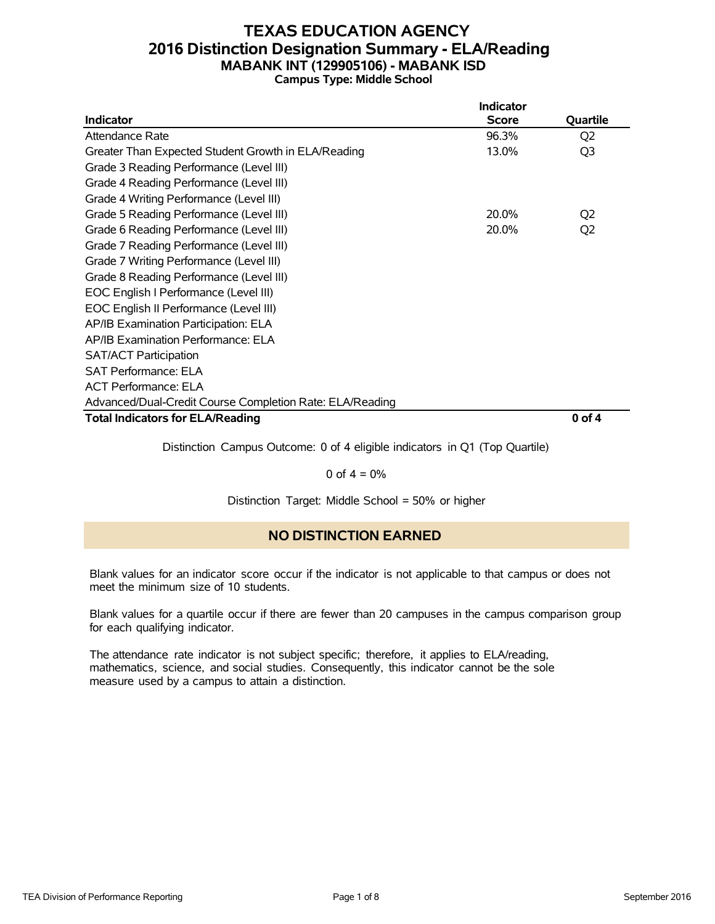### **TEXAS EDUCATION AGENCY 2016 Distinction Designation Summary - ELA/Reading MABANK INT (129905106) - MABANK ISD Campus Type: Middle School**

|                                                          | <b>Indicator</b> |                |
|----------------------------------------------------------|------------------|----------------|
| <b>Indicator</b>                                         | <b>Score</b>     | Quartile       |
| Attendance Rate                                          | 96.3%            | Q <sub>2</sub> |
| Greater Than Expected Student Growth in ELA/Reading      | 13.0%            | Q3             |
| Grade 3 Reading Performance (Level III)                  |                  |                |
| Grade 4 Reading Performance (Level III)                  |                  |                |
| Grade 4 Writing Performance (Level III)                  |                  |                |
| Grade 5 Reading Performance (Level III)                  | 20.0%            | Q <sub>2</sub> |
| Grade 6 Reading Performance (Level III)                  | 20.0%            | Q <sub>2</sub> |
| Grade 7 Reading Performance (Level III)                  |                  |                |
| Grade 7 Writing Performance (Level III)                  |                  |                |
| Grade 8 Reading Performance (Level III)                  |                  |                |
| EOC English I Performance (Level III)                    |                  |                |
| EOC English II Performance (Level III)                   |                  |                |
| AP/IB Examination Participation: ELA                     |                  |                |
| AP/IB Examination Performance: ELA                       |                  |                |
| <b>SAT/ACT Participation</b>                             |                  |                |
| <b>SAT Performance: ELA</b>                              |                  |                |
| <b>ACT Performance: ELA</b>                              |                  |                |
| Advanced/Dual-Credit Course Completion Rate: ELA/Reading |                  |                |
| <b>Total Indicators for ELA/Reading</b>                  |                  | $0$ of $4$     |

Distinction Campus Outcome: 0 of 4 eligible indicators in Q1 (Top Quartile)

#### 0 of  $4 = 0%$

Distinction Target: Middle School = 50% or higher

### **NO DISTINCTION EARNED**

Blank values for an indicator score occur if the indicator is not applicable to that campus or does not meet the minimum size of 10 students.

Blank values for a quartile occur if there are fewer than 20 campuses in the campus comparison group for each qualifying indicator.

The attendance rate indicator is not subject specific; therefore, it applies to ELA/reading, mathematics, science, and social studies. Consequently, this indicator cannot be the sole measure used by a campus to attain a distinction.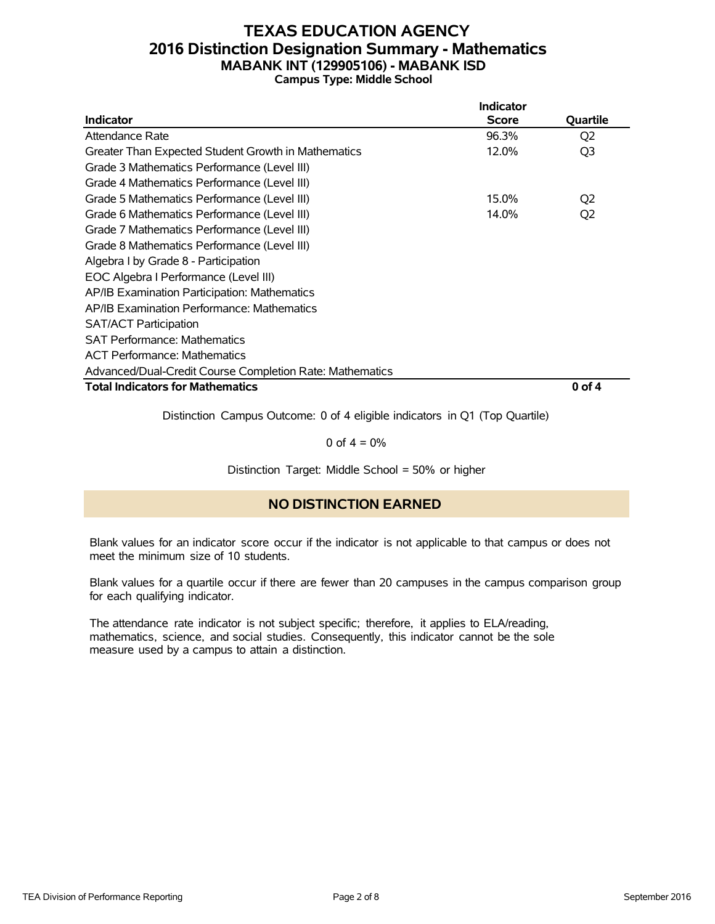### **TEXAS EDUCATION AGENCY 2016 Distinction Designation Summary - Mathematics MABANK INT (129905106) - MABANK ISD Campus Type: Middle School**

|                                                          | Indicator    |                |
|----------------------------------------------------------|--------------|----------------|
| Indicator                                                | <b>Score</b> | Quartile       |
| Attendance Rate                                          | 96.3%        | Q <sub>2</sub> |
| Greater Than Expected Student Growth in Mathematics      | 12.0%        | Q <sub>3</sub> |
| Grade 3 Mathematics Performance (Level III)              |              |                |
| Grade 4 Mathematics Performance (Level III)              |              |                |
| Grade 5 Mathematics Performance (Level III)              | 15.0%        | Q <sub>2</sub> |
| Grade 6 Mathematics Performance (Level III)              | 14.0%        | Q <sub>2</sub> |
| Grade 7 Mathematics Performance (Level III)              |              |                |
| Grade 8 Mathematics Performance (Level III)              |              |                |
| Algebra I by Grade 8 - Participation                     |              |                |
| EOC Algebra I Performance (Level III)                    |              |                |
| AP/IB Examination Participation: Mathematics             |              |                |
| AP/IB Examination Performance: Mathematics               |              |                |
| <b>SAT/ACT Participation</b>                             |              |                |
| <b>SAT Performance: Mathematics</b>                      |              |                |
| <b>ACT Performance: Mathematics</b>                      |              |                |
| Advanced/Dual-Credit Course Completion Rate: Mathematics |              |                |
| <b>Total Indicators for Mathematics</b>                  |              | 0 of 4         |

Distinction Campus Outcome: 0 of 4 eligible indicators in Q1 (Top Quartile)

0 of  $4 = 0%$ 

Distinction Target: Middle School = 50% or higher

### **NO DISTINCTION EARNED**

Blank values for an indicator score occur if the indicator is not applicable to that campus or does not meet the minimum size of 10 students.

Blank values for a quartile occur if there are fewer than 20 campuses in the campus comparison group for each qualifying indicator.

The attendance rate indicator is not subject specific; therefore, it applies to ELA/reading, mathematics, science, and social studies. Consequently, this indicator cannot be the sole measure used by a campus to attain a distinction.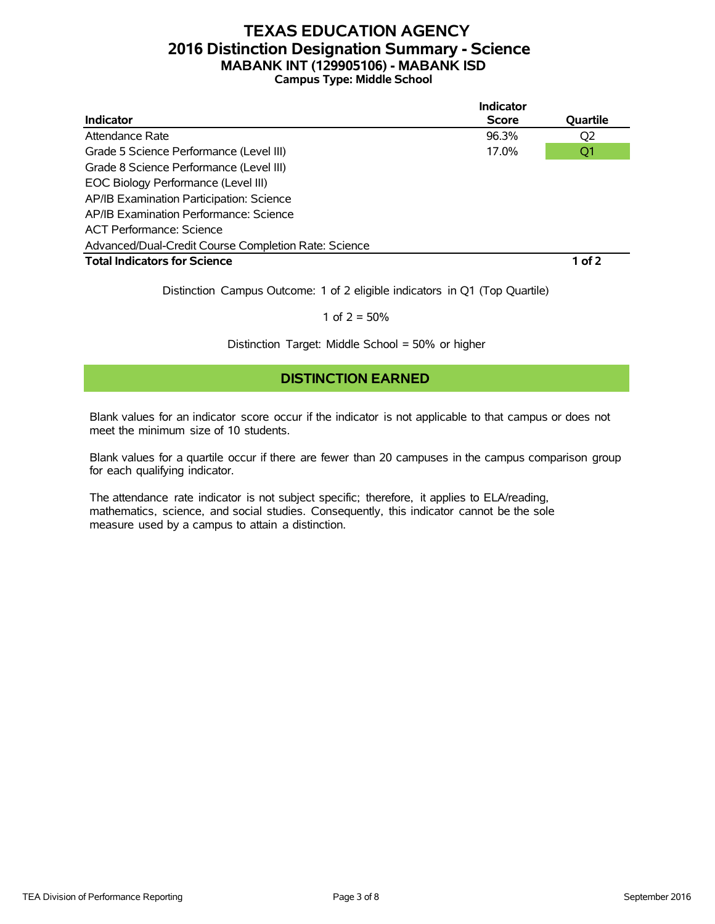### **TEXAS EDUCATION AGENCY 2016 Distinction Designation Summary - Science MABANK INT (129905106) - MABANK ISD Campus Type: Middle School**

|                                                      | <b>Indicator</b> |                |
|------------------------------------------------------|------------------|----------------|
| <b>Indicator</b>                                     | <b>Score</b>     | Quartile       |
| Attendance Rate                                      | 96.3%            | Q <sub>2</sub> |
| Grade 5 Science Performance (Level III)              | 17.0%            | Q1             |
| Grade 8 Science Performance (Level III)              |                  |                |
| EOC Biology Performance (Level III)                  |                  |                |
| AP/IB Examination Participation: Science             |                  |                |
| AP/IB Examination Performance: Science               |                  |                |
| ACT Performance: Science                             |                  |                |
| Advanced/Dual-Credit Course Completion Rate: Science |                  |                |
| <b>Total Indicators for Science</b>                  |                  | $1$ of 2       |

Distinction Campus Outcome: 1 of 2 eligible indicators in Q1 (Top Quartile)

1 of  $2 = 50%$ 

Distinction Target: Middle School = 50% or higher

### **DISTINCTION EARNED**

Blank values for an indicator score occur if the indicator is not applicable to that campus or does not meet the minimum size of 10 students.

Blank values for a quartile occur if there are fewer than 20 campuses in the campus comparison group for each qualifying indicator.

The attendance rate indicator is not subject specific; therefore, it applies to ELA/reading, mathematics, science, and social studies. Consequently, this indicator cannot be the sole measure used by a campus to attain a distinction.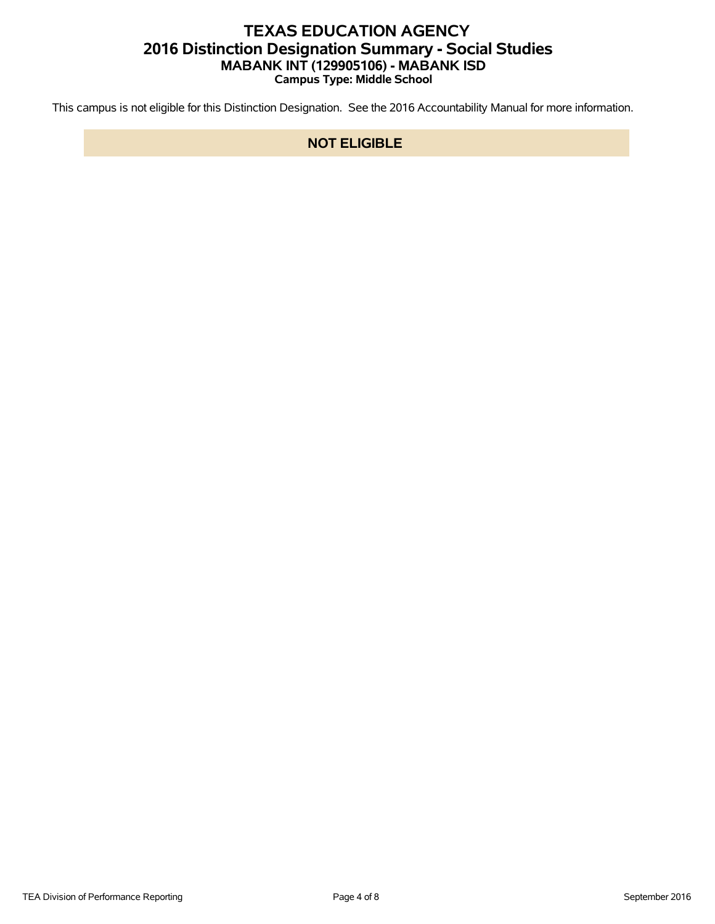## **TEXAS EDUCATION AGENCY 2016 Distinction Designation Summary - Social Studies MABANK INT (129905106) - MABANK ISD Campus Type: Middle School**

This campus is not eligible for this Distinction Designation. See the 2016 Accountability Manual for more information.

#### **NOT ELIGIBLE**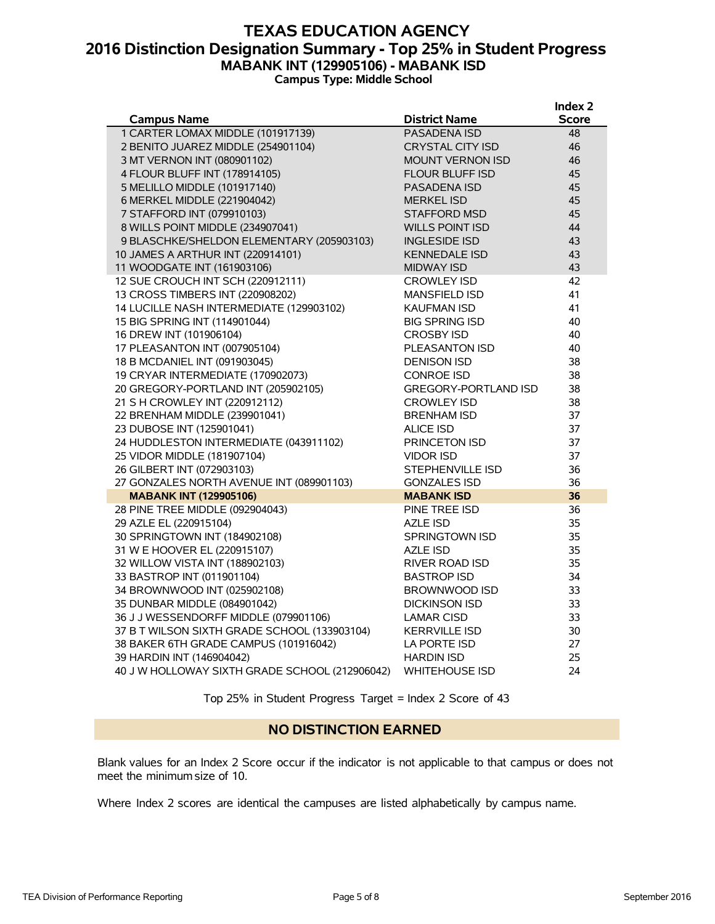#### **TEXAS EDUCATION AGENCY 2016 Distinction Designation Summary - Top 25% in Student Progress MABANK INT (129905106) - MABANK ISD Campus Type: Middle School**

|                                                |                             | Index 2      |
|------------------------------------------------|-----------------------------|--------------|
| <b>Campus Name</b>                             | <b>District Name</b>        | <b>Score</b> |
| 1 CARTER LOMAX MIDDLE (101917139)              | PASADENA ISD                | 48           |
| 2 BENITO JUAREZ MIDDLE (254901104)             | <b>CRYSTAL CITY ISD</b>     | 46           |
| 3 MT VERNON INT (080901102)                    | <b>MOUNT VERNON ISD</b>     | 46           |
| 4 FLOUR BLUFF INT (178914105)                  | <b>FLOUR BLUFF ISD</b>      | 45           |
| 5 MELILLO MIDDLE (101917140)                   | <b>PASADENA ISD</b>         | 45           |
| 6 MERKEL MIDDLE (221904042)                    | <b>MERKEL ISD</b>           | 45           |
| 7 STAFFORD INT (079910103)                     | <b>STAFFORD MSD</b>         | 45           |
| 8 WILLS POINT MIDDLE (234907041)               | <b>WILLS POINT ISD</b>      | 44           |
| 9 BLASCHKE/SHELDON ELEMENTARY (205903103)      | <b>INGLESIDE ISD</b>        | 43           |
| 10 JAMES A ARTHUR INT (220914101)              | <b>KENNEDALE ISD</b>        | 43           |
| 11 WOODGATE INT (161903106)                    | <b>MIDWAY ISD</b>           | 43           |
| 12 SUE CROUCH INT SCH (220912111)              | <b>CROWLEY ISD</b>          | 42           |
| 13 CROSS TIMBERS INT (220908202)               | <b>MANSFIELD ISD</b>        | 41           |
| 14 LUCILLE NASH INTERMEDIATE (129903102)       | <b>KAUFMAN ISD</b>          | 41           |
| 15 BIG SPRING INT (114901044)                  | <b>BIG SPRING ISD</b>       | 40           |
| 16 DREW INT (101906104)                        | <b>CROSBY ISD</b>           | 40           |
| 17 PLEASANTON INT (007905104)                  | PLEASANTON ISD              | 40           |
| 18 B MCDANIEL INT (091903045)                  | <b>DENISON ISD</b>          | 38           |
| 19 CRYAR INTERMEDIATE (170902073)              | <b>CONROE ISD</b>           | 38           |
| 20 GREGORY-PORTLAND INT (205902105)            | <b>GREGORY-PORTLAND ISD</b> | 38           |
| 21 S H CROWLEY INT (220912112)                 | <b>CROWLEY ISD</b>          | 38           |
| 22 BRENHAM MIDDLE (239901041)                  | <b>BRENHAM ISD</b>          | 37           |
| 23 DUBOSE INT (125901041)                      | <b>ALICE ISD</b>            | 37           |
| 24 HUDDLESTON INTERMEDIATE (043911102)         | PRINCETON ISD               | 37           |
| 25 VIDOR MIDDLE (181907104)                    | <b>VIDOR ISD</b>            | 37           |
| 26 GILBERT INT (072903103)                     | STEPHENVILLE ISD            | 36           |
| 27 GONZALES NORTH AVENUE INT (089901103)       | <b>GONZALES ISD</b>         | 36           |
| <b>MABANK INT (129905106)</b>                  | <b>MABANK ISD</b>           | 36           |
| 28 PINE TREE MIDDLE (092904043)                | PINE TREE ISD               | 36           |
| 29 AZLE EL (220915104)                         | AZLE ISD                    | 35           |
| 30 SPRINGTOWN INT (184902108)                  | <b>SPRINGTOWN ISD</b>       | 35           |
| 31 W E HOOVER EL (220915107)                   | <b>AZLE ISD</b>             | 35           |
| 32 WILLOW VISTA INT (188902103)                | <b>RIVER ROAD ISD</b>       | 35           |
| 33 BASTROP INT (011901104)                     | <b>BASTROP ISD</b>          | 34           |
| 34 BROWNWOOD INT (025902108)                   | BROWNWOOD ISD               | 33           |
| 35 DUNBAR MIDDLE (084901042)                   | <b>DICKINSON ISD</b>        | 33           |
| 36 J J WESSENDORFF MIDDLE (079901106)          | <b>LAMAR CISD</b>           | 33           |
| 37 B T WILSON SIXTH GRADE SCHOOL (133903104)   | <b>KERRVILLE ISD</b>        | 30           |
| 38 BAKER 6TH GRADE CAMPUS (101916042)          | LA PORTE ISD                | 27           |
| 39 HARDIN INT (146904042)                      | <b>HARDIN ISD</b>           | 25           |
| 40 J W HOLLOWAY SIXTH GRADE SCHOOL (212906042) | <b>WHITEHOUSE ISD</b>       | 24           |

Top 25% in Student Progress Target = Index 2 Score of 43

#### **NO DISTINCTION EARNED**

Blank values for an Index 2 Score occur if the indicator is not applicable to that campus or does not meet the minimum size of 10.

Where Index 2 scores are identical the campuses are listed alphabetically by campus name.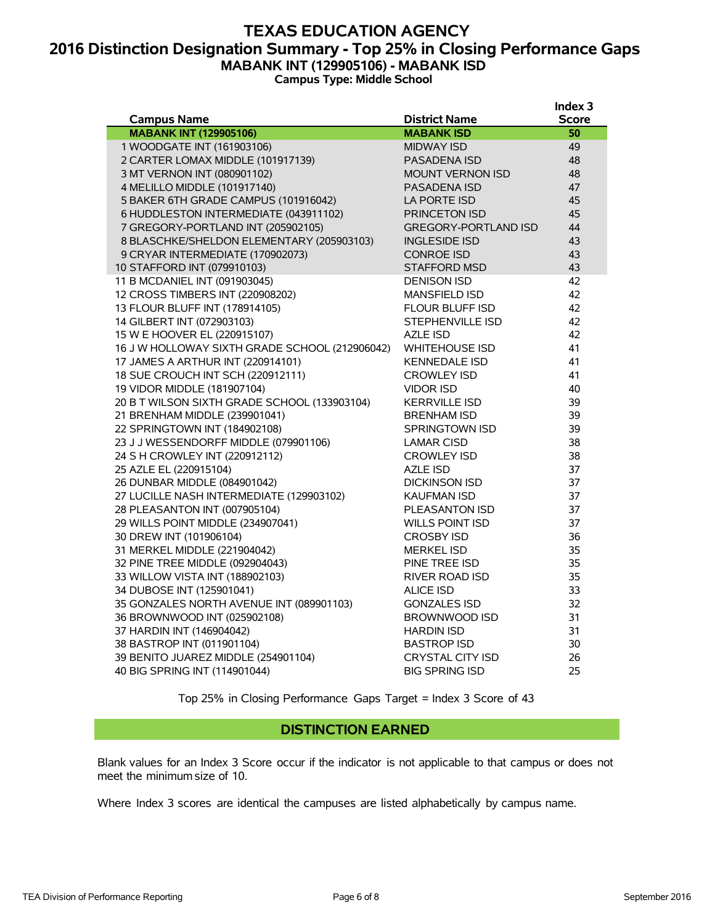#### **TEXAS EDUCATION AGENCY 2016 Distinction Designation Summary - Top 25% in Closing Performance Gaps MABANK INT (129905106) - MABANK ISD Campus Type: Middle School**

|                                                |                             | Index 3      |
|------------------------------------------------|-----------------------------|--------------|
| <b>Campus Name</b>                             | <b>District Name</b>        | <b>Score</b> |
| <b>MABANK INT (129905106)</b>                  | <b>MABANK ISD</b>           | 50           |
| 1 WOODGATE INT (161903106)                     | <b>MIDWAY ISD</b>           | 49           |
| 2 CARTER LOMAX MIDDLE (101917139)              | <b>PASADENA ISD</b>         | 48           |
| 3 MT VERNON INT (080901102)                    | <b>MOUNT VERNON ISD</b>     | 48           |
| 4 MELILLO MIDDLE (101917140)                   | <b>PASADENA ISD</b>         | 47           |
| 5 BAKER 6TH GRADE CAMPUS (101916042)           | LA PORTE ISD                | 45           |
| 6 HUDDLESTON INTERMEDIATE (043911102)          | <b>PRINCETON ISD</b>        | 45           |
| 7 GREGORY-PORTLAND INT (205902105)             | <b>GREGORY-PORTLAND ISD</b> | 44           |
| 8 BLASCHKE/SHELDON ELEMENTARY (205903103)      | <b>INGLESIDE ISD</b>        | 43           |
| 9 CRYAR INTERMEDIATE (170902073)               | <b>CONROE ISD</b>           | 43           |
| 10 STAFFORD INT (079910103)                    | <b>STAFFORD MSD</b>         | 43           |
| 11 B MCDANIEL INT (091903045)                  | <b>DENISON ISD</b>          | 42           |
| 12 CROSS TIMBERS INT (220908202)               | <b>MANSFIELD ISD</b>        | 42           |
| 13 FLOUR BLUFF INT (178914105)                 | <b>FLOUR BLUFF ISD</b>      | 42           |
| 14 GILBERT INT (072903103)                     | STEPHENVILLE ISD            | 42           |
| 15 W E HOOVER EL (220915107)                   | <b>AZLE ISD</b>             | 42           |
| 16 J W HOLLOWAY SIXTH GRADE SCHOOL (212906042) | <b>WHITEHOUSE ISD</b>       | 41           |
| 17 JAMES A ARTHUR INT (220914101)              | <b>KENNEDALE ISD</b>        | 41           |
| 18 SUE CROUCH INT SCH (220912111)              | <b>CROWLEY ISD</b>          | 41           |
| 19 VIDOR MIDDLE (181907104)                    | <b>VIDOR ISD</b>            | 40           |
| 20 B T WILSON SIXTH GRADE SCHOOL (133903104)   | <b>KERRVILLE ISD</b>        | 39           |
| 21 BRENHAM MIDDLE (239901041)                  | <b>BRENHAM ISD</b>          | 39           |
| 22 SPRINGTOWN INT (184902108)                  | SPRINGTOWN ISD              | 39           |
| 23 J J WESSENDORFF MIDDLE (079901106)          | <b>LAMAR CISD</b>           | 38           |
| 24 S H CROWLEY INT (220912112)                 | <b>CROWLEY ISD</b>          | 38           |
| 25 AZLE EL (220915104)                         | AZLE ISD                    | 37           |
| 26 DUNBAR MIDDLE (084901042)                   | <b>DICKINSON ISD</b>        | 37           |
| 27 LUCILLE NASH INTERMEDIATE (129903102)       | <b>KAUFMAN ISD</b>          | 37           |
| 28 PLEASANTON INT (007905104)                  | PLEASANTON ISD              | 37           |
| 29 WILLS POINT MIDDLE (234907041)              | <b>WILLS POINT ISD</b>      | 37           |
| 30 DREW INT (101906104)                        | <b>CROSBY ISD</b>           | 36           |
| 31 MERKEL MIDDLE (221904042)                   | <b>MERKEL ISD</b>           | 35           |
| 32 PINE TREE MIDDLE (092904043)                | PINE TREE ISD               | 35           |
| 33 WILLOW VISTA INT (188902103)                | RIVER ROAD ISD              | 35           |
| 34 DUBOSE INT (125901041)                      | <b>ALICE ISD</b>            | 33           |
| 35 GONZALES NORTH AVENUE INT (089901103)       | <b>GONZALES ISD</b>         | 32           |
| 36 BROWNWOOD INT (025902108)                   | BROWNWOOD ISD               | 31           |
| 37 HARDIN INT (146904042)                      | <b>HARDIN ISD</b>           | 31           |
| 38 BASTROP INT (011901104)                     | <b>BASTROP ISD</b>          | 30           |
| 39 BENITO JUAREZ MIDDLE (254901104)            | <b>CRYSTAL CITY ISD</b>     | 26           |
| 40 BIG SPRING INT (114901044)                  | <b>BIG SPRING ISD</b>       | 25           |

Top 25% in Closing Performance Gaps Target = Index 3 Score of 43

#### **DISTINCTION EARNED**

Blank values for an Index 3 Score occur if the indicator is not applicable to that campus or does not meet the minimum size of 10.

Where Index 3 scores are identical the campuses are listed alphabetically by campus name.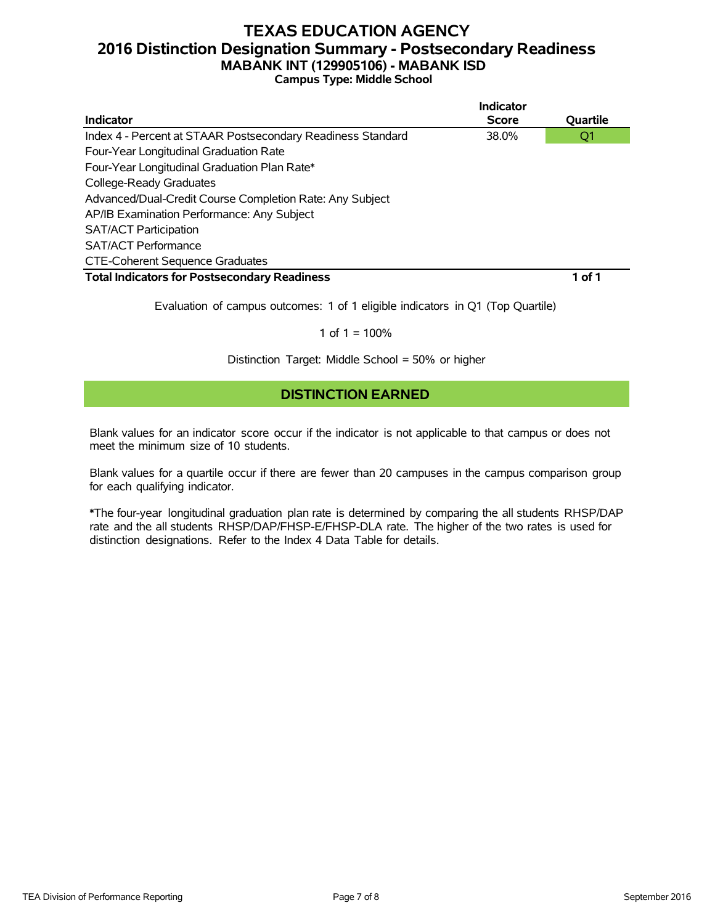### **TEXAS EDUCATION AGENCY 2016 Distinction Designation Summary - Postsecondary Readiness MABANK INT (129905106) - MABANK ISD Campus Type: Middle School**

|                                                             | Indicator    |          |
|-------------------------------------------------------------|--------------|----------|
| Indicator                                                   | <b>Score</b> | Quartile |
| Index 4 - Percent at STAAR Postsecondary Readiness Standard | 38.0%        | Q1       |
| Four-Year Longitudinal Graduation Rate                      |              |          |
| Four-Year Longitudinal Graduation Plan Rate*                |              |          |
| College-Ready Graduates                                     |              |          |
| Advanced/Dual-Credit Course Completion Rate: Any Subject    |              |          |
| AP/IB Examination Performance: Any Subject                  |              |          |
| <b>SAT/ACT Participation</b>                                |              |          |
| <b>SAT/ACT Performance</b>                                  |              |          |
| <b>CTE-Coherent Sequence Graduates</b>                      |              |          |
| <b>Total Indicators for Postsecondary Readiness</b>         |              | 1 of 1   |

Evaluation of campus outcomes: 1 of 1 eligible indicators in Q1 (Top Quartile)

#### 1 of  $1 = 100%$

Distinction Target: Middle School = 50% or higher

#### **DISTINCTION EARNED**

Blank values for an indicator score occur if the indicator is not applicable to that campus or does not meet the minimum size of 10 students.

Blank values for a quartile occur if there are fewer than 20 campuses in the campus comparison group for each qualifying indicator.

\*The four-year longitudinal graduation plan rate is determined by comparing the all students RHSP/DAP rate and the all students RHSP/DAP/FHSP-E/FHSP-DLA rate. The higher of the two rates is used for distinction designations. Refer to the Index 4 Data Table for details.